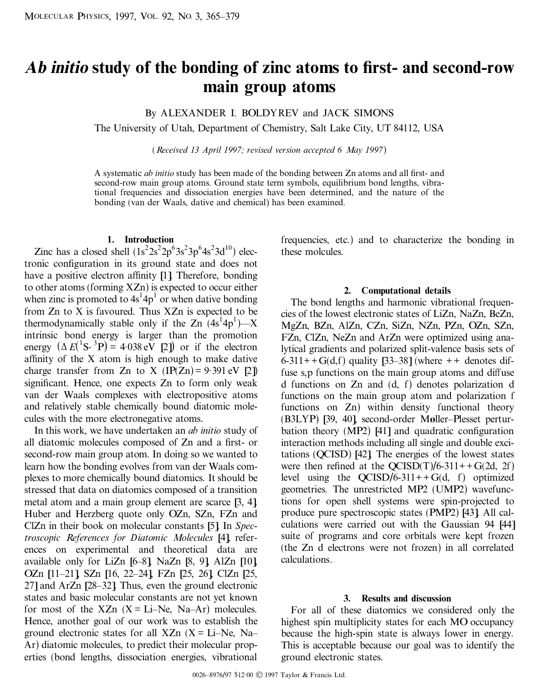# *Ab initio* **study of the bonding of zinc atoms to ®rst- and second-row main group atoms**

By ALEXANDER I. BOLDYREV and JACK SIMONS

The University of Utah, Department of Chemistry, Salt Lake City, UT 84112, USA

( *Received 13 April 1997; revised version accepted 6 May 1997*)

A systematic *ab initio* study has been made of the bonding between Zn atoms and all first- and second-row main group atoms. Ground state term symbols, equilibrium bond lengths, vibrational frequencies and dissociation energies have been determined, and the nature of the bonding (van der Waals, dative and chemical) has been examined.

#### **1. Introduction**

Zinc has a closed shell  $(1s^22s^22p^63s^23p^64s^23d^{10})$  electronic configuration in its ground state and does not have a positive electron affinity  $[1]$ . Therefore, bonding to other atoms (forming XZn) is expected to occur either when zinc is promoted to  $4s^14p^1$  or when dative bonding from  $Zn$  to  $X$  is favoured. Thus  $XZn$  is expected to be thermodynamically stable only if the  $\text{Zn}$   $(4s^14p^1)$ —X intrinsic bond energy is larger than the promotion energy  $(\Delta E({}^{1}S^{-3}P) = 4.038 \text{ eV}$  [2]) or if the electron affinity of the  $X$  atom is high enough to make dative charge transfer from Zn to X  $(IP(Zn) = 9.391 \text{ eV}$  [2]) significant. Hence, one expects Zn to form only weak van der Waals complexes with electropositive atoms and relatively stable chemically bound diatomic molecules with the more electronegative atoms.

In this work, we have undertaken an *ab initio* study of all diatomic molecules composed of Zn and a first- or second-row main group atom. In doing so we wanted to learn how the bonding evolves from van der Waals complexes to more chemically bound diatomics. It should be stressed that data on diatomics composed of a transition metal atom and a main group element are scarce [3, 4]. Huber and Herzberg quote only OZn, SZn, FZn and ClZn in their book on molecular constants [5]. In *Spectroscopic References for Diatomic Molecules* [4], references on experimental and theoretical data are available only for LiZn  $[6-8]$ , NaZn  $[8, 9]$ , AlZn  $[10]$ OZn [11-21], SZn [16, 22-24], FZn [25, 26], ClZn [25,  $27$ ] and ArZn  $[28-32]$ . Thus, even the ground electronic states and basic molecular constants are not yet known for most of the XZn  $(X = Li-Ne, Na-Ar)$  molecules. Hence, another goal of our work was to establish the ground electronic states for all  $XZn$  ( $X = Li-Ne$ , Na-Ar) diatomic molecules, to predict their molecular properties (bond lengths, dissociation energies, vibrational

frequencies, etc.) and to characterize the bonding in these molcules.

# **2. Computational details**

The bond lengths and harmonic vibrational frequencies of the lowest electronic states of LiZn, NaZn, BeZn, MgZn, BZn, AlZn, CZn, SiZn, NZn, PZn, OZn, SZn, FZn, ClZn, NeZn and ArZn were optimized using analytical gradients and polarized split-valence basis sets of 6-311++G(d,f) quality  $[33-38]$  (where ++ denotes diffuse s,p functions on the main group atoms and diffuse d functions on Zn and (d, f) denotes polarization d functions on the main group atom and polarization f functions on Zn) within density functional theory (B3LYP) [39, 40], second-order Møller-Plesset perturbation theory  $(MP2)$  [41] and quadratic configuration interaction methods including all single and double excitations (QCISD) [42]. The energies of the lowest states were then refined at the  $QCISD(T)/6-311++G(2d, 2f)$ level using the  $QCISD/6-311++G(d, f)$  optimized geometries. The unrestricted MP2 (UMP2) wavefunctions for open shell systems were spin-projected to produce pure spectroscopic states (PMP2) [43]. All calculations were carried out with the Gaussian 94 [44] suite of programs and core orbitals were kept frozen (the Zn d electrons were not frozen) in all correlated calculations.

#### **3. Results and discussion**

For all of these diatomics we considered only the highest spin multiplicity states for each MO occupancy because the high-spin state is always lower in energy. This is acceptable because our goal was to identify the ground electronic states.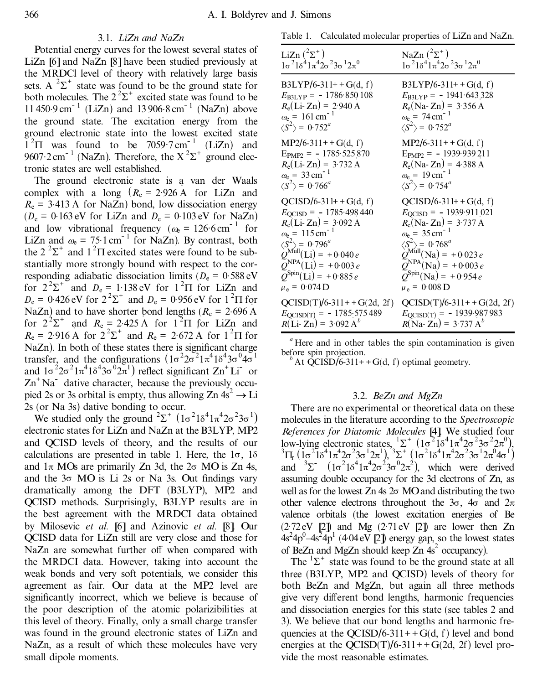## 3.1. *L iZn and NaZn*

Potential energy curves for the lowest several states of LiZn [6] and NaZn [8] have been studied previously at the MRDCl level of theory with relatively large basis sets. A  ${}^{2}\Sigma^{+}$  state was found to be the ground state for both molecules. The  $2^2\Sigma^+$  excited state was found to be  $11\,450.9\,\text{cm}^{-1}$  (LiZn) and  $13\,906.8\,\text{cm}^{-1}$  (NaZn) above the ground state. The excitation energy from the ground electronic state into the lowest excited state  $1^{2}\Pi$  was found to be 7059.7 cm<sup>-1</sup> (LiZn) and 9607 $\cdot$ 2 cm<sup>-1</sup> (NaZn). Therefore, the X<sup>2</sup> $\Sigma$ <sup>+</sup> ground electronic states are well established.

The ground electronic state is a van der Waals complex with a long  $(R_e = 2.926 \text{ Å}$  for LiZn and  $R_e = 3.413$  Å for NaZn) bond, low dissociation energy  $(D_e = 0.163 \text{ eV}$  for LiZn and  $D_e = 0.103 \text{ eV}$  for NaZn) and low vibrational frequency  $(\omega_{\rm e} = 126.6 \text{ cm}^{-1} \text{ for}$ LiZn and  $\omega_e = 75.1 \text{ cm}^{-1}$  for NaZn). By contrast, both the  $2^2\Sigma^+$  and  $1^2\Pi$  excited states were found to be substantially more strongly bound with respect to the corresponding adiabatic dissociation limits ( $D_e = 0.588 \text{ eV}$ for  $2^2\Sigma^+$  and  $D_e = 1.138 \text{ eV}$  for  $1^2\Pi$  for LiZn and  $D_e = 0.426 \text{ eV}$  for  $2^2\Sigma^+$  and  $D_e = 0.956 \text{ eV}$  for  $1^2\Pi$  for NaZn) and to have shorter bond lengths ( $R_e = 2.696 \text{ A}$ for  $2^2\Sigma^+$  and  $R_e = 2.425$  A for  $1^2\Pi$  for LiZn and  $R_e = 2.916 \text{ Å}$  for  $2^2\Sigma^+$  and  $R_e = 2.672 \text{ Å}$  for  $1^2\Pi$  for  $NaZn$ ). In both of these states there is significant charge transfer, and the configurations  $(1\sigma^2 2\sigma^2 1\pi^4 1\delta^4 3\sigma^0 4\sigma^1$ and  $1\sigma^2 2\sigma^2 1\pi^4 1\delta^4 3\sigma^0 2\pi^1$ ) reflect significant  $\text{Zn}^+$  Li or  $\text{Zn}^+$  Na<sup>-</sup> dative character, because the previously occupied 2s or 3s orbital is empty, thus allowing  $Zn 4s^2 \rightarrow Li$ 2s (or Na 3s) dative bonding to occur.

We studied only the ground  ${}^{2}\Sigma^{+}$   $(1\sigma^{2}1\delta^{4}1\pi^{4}2\sigma^{2}3\sigma^{1})$ electronic states for LiZn and NaZn at the B3LYP, MP2 and QCISD levels of theory, and the results of our calculations are presented in table 1. Here, the  $1\sigma$ ,  $1\delta$ and  $1\pi$  MOs are primarily Zn 3d, the  $2\sigma$  MO is Zn 4s, and the  $3\sigma$  MO is Li 2s or Na 3s. Out findings vary dramatically among the DFT (B3LYP), MP2 and QCISD methods. Surprisingly, B3LYP results are in the best agreement with the MRDCI data obtained by Milosevic *et al.* [6] and Azinovic *et al.* [8]. Our QCISD data for LiZn still are very close and those for NaZn are somewhat further off when compared with the MRDCI data. However, taking into account the weak bonds and very soft potentials, we consider this agreement as fair. Our data at the MP2 level are significantly incorrect, which we believe is because of the poor description of the atomic polarizibilities at this level of theory. Finally, only a small charge transfer was found in the ground electronic states of LiZn and NaZn, as a result of which these molecules have very small dipole moments.

Table 1. Calculated molecular properties of LiZn and NaZn.

| LiZn $(^{2}\Sigma^{+})$                                                                                                                                                                                                                                                                                         | NaZn $(^{2}\Sigma^{+})$                                                                                                                                                                                                                                                                                                               |
|-----------------------------------------------------------------------------------------------------------------------------------------------------------------------------------------------------------------------------------------------------------------------------------------------------------------|---------------------------------------------------------------------------------------------------------------------------------------------------------------------------------------------------------------------------------------------------------------------------------------------------------------------------------------|
| $1\sigma^2 1\delta^4 1\pi^4 2\sigma^2 3\sigma^1 2\pi^0$                                                                                                                                                                                                                                                         | $1\sigma^2 1\delta^4 1\pi^4 2\sigma^2 3\sigma^1 2\pi^0$                                                                                                                                                                                                                                                                               |
| $B3LYP/6-311++G(d, f)$                                                                                                                                                                                                                                                                                          | $B3LYP/6-311++G(d, f)$                                                                                                                                                                                                                                                                                                                |
| $E_{\text{B3LYP}} = -1786.850108$                                                                                                                                                                                                                                                                               | $E_{\text{B3LYP}} = -1941.643328$                                                                                                                                                                                                                                                                                                     |
| $R_e$ (Li-Zn) = 2.940 A                                                                                                                                                                                                                                                                                         | $R_e(Na-Zn) = 3.356 A$                                                                                                                                                                                                                                                                                                                |
| $\omega_e = 161 \text{ cm}^{-1}$                                                                                                                                                                                                                                                                                | $\omega_e = 74 \text{ cm}^{-1}$                                                                                                                                                                                                                                                                                                       |
| $\langle S^2 \rangle$ = 0.752 <sup>a</sup>                                                                                                                                                                                                                                                                      | $\langle S^2 \rangle$ = 0.752 <sup>a</sup>                                                                                                                                                                                                                                                                                            |
| $MP2/6-311++G(d, f)$                                                                                                                                                                                                                                                                                            | $MP2/6-311++G(d, f)$                                                                                                                                                                                                                                                                                                                  |
| $E_{\text{PMP2}} = -1785.525870$                                                                                                                                                                                                                                                                                | $E_{PMP2}$ = -1939.939.211                                                                                                                                                                                                                                                                                                            |
| $R_e$ (Li-Zn) = 3.732 A                                                                                                                                                                                                                                                                                         | $R_e(Na-Zn) = 4.388 A$                                                                                                                                                                                                                                                                                                                |
| $\omega_e = 33 \text{ cm}^{-1}$                                                                                                                                                                                                                                                                                 | $\omega_e = 19 \text{ cm}^{-1}$                                                                                                                                                                                                                                                                                                       |
| $\langle S^2 \rangle$ = 0.766 <sup>a</sup>                                                                                                                                                                                                                                                                      | $\langle S^2 \rangle$ = 0.754 <sup>a</sup>                                                                                                                                                                                                                                                                                            |
| $QCISD/6-311++G(d, f)$<br>$E_{\text{QCISD}} = -1785.498440$<br>$R_e$ (Li-Zn) = 3.092 A<br>$\omega_e = 115 \text{ cm}^{-1}$<br>$\langle S^2 \rangle = 0.796^a$<br>$Q^{\text{Mull}}(Li) = +0.040 e$<br>$Q^{\text{NPA}}(Li) = +0.003 e$<br>$\overline{Q}^{\text{Spin}}(\text{Li}) = +0.885 e$<br>$\mu_e = 0.074$ D | $QCISD/6-311++G(d, f)$<br>$E_{\text{QCISD}} = -1939.911.021$<br>$R_e(Na-Zn) = 3.737 A$<br>$\omega_e = 35 \text{ cm}^{-1}$<br>$\langle S^2 \rangle = 0.768^a$<br>$Q^{\text{Múll}}(\text{Na}) = +0.023 e$<br>$Q^{\text{NPA}}(\text{Na}) = +0.003 e$<br>$\widetilde{Q}^{\text{Spin}}(\text{Na}) = +0.954 e$<br>$\mu_e = 0.008 \text{ D}$ |
| $QCISD(T)/6-311++G(2d, 2f)$                                                                                                                                                                                                                                                                                     | $QCISD(T)/6-311++G(2d, 2f)$                                                                                                                                                                                                                                                                                                           |
| $E_{\text{QCISD}(T)} = -1785.575489$                                                                                                                                                                                                                                                                            | $E_{\text{QCISD(T)}} = -1939.987983$                                                                                                                                                                                                                                                                                                  |
| $R(Li-Zn) = 3.092 A^{b}$                                                                                                                                                                                                                                                                                        | $R(Na-Zn) = 3.737 A^{b}$                                                                                                                                                                                                                                                                                                              |

<sup>a</sup> Here and in other tables the spin contamination is given before spin projection.

 $b^b$  At QCISD/6-311+ + G(d, f) optimal geometry.

## 3.2. *BeZn and MgZn*

There are no experimental or theoretical data on these molecules in the literature according to the *Spectroscopic References for Diatomic Molecules* [4]. We studied four low-lying electronic states,  ${}^{1}\Sigma^{+}$  ( $1\sigma^{2} 1\delta^{4} 1\pi^{4} 2\sigma^{2} 3\sigma^{2} 2\pi^{0}$ ),<br> ${}^{3}\Pi_{\tau}$  ( $1\sigma^{2} 1\delta^{4} 1\pi^{4} 2\sigma^{2} 3\sigma^{1} 2\pi^{1}$ ),  ${}^{3}\Sigma^{+}$  ( $1\sigma^{2} 1\delta^{4} 1\pi^{4} 2\sigma^{2} 3\sigma^{1} 2\pi^{0} 4\sigma^{1}$ ) and  ${}^{3}\Sigma$   $(1\sigma^{2}1\delta^{4}1\pi^{4}2\sigma^{2}3\sigma^{0}2\pi^{2})$ , which were derived assuming double occupancy for the 3d electrons of Zn, as well as for the lowest  $Zn$  4s  $2\sigma$  MO and distributing the two other valence electrons throughout the  $3\sigma$ ,  $4\sigma$  and  $2\pi$ valence orbitals (the lowest excitation energies of Be (2.72eV [2]) and Mg (2.71eV [2]) are lower then Zn  $4s^24p^0-4s^24p^1$  (4.04 eV [2]) energy gap, so the lowest states of BeZn and MgZn should keep Zn 4s 2 occupancy).

The  ${}^{1}\Sigma^{+}$  state was found to be the ground state at all three (B3LYP, MP2 and QCISD) levels of theory for both BeZn and MgZn, but again all three methods give very different bond lengths, harmonic frequencies and dissociation energies for this state (see tables 2 and 3). We believe that our bond lengths and harmonic frequencies at the  $OCISD/6-311++G(d, f)$  level and bond energies at the QCISD(T)/6-311++G(2d, 2f) level provide the most reasonable estimates.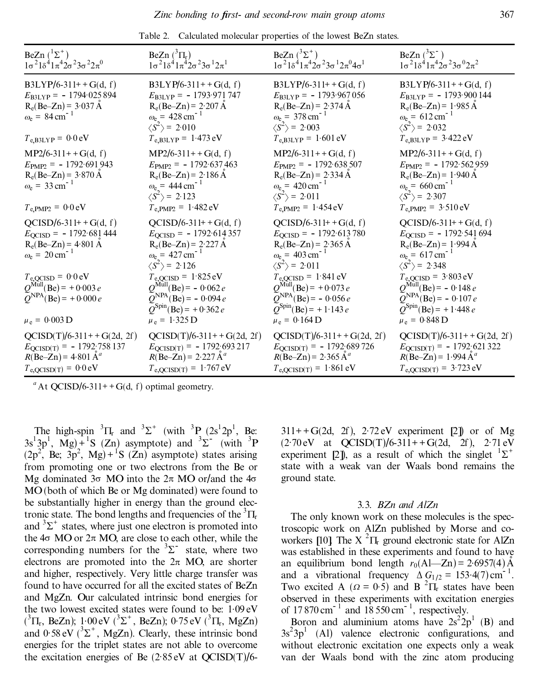| BeZn $({}^{1}\Sigma^{+})$<br>$1\sigma^2 1\delta^4 1\pi^4 2\sigma^2 3\sigma^2 2\pi^0$                                                                                                                                                       | BeZn $({}^3\Pi_r)$<br>$1\sigma^2 1\delta^4 1\pi^4 2\sigma^2 3\sigma^1 2\pi^1$                                                                                                                                                                                                            | BeZn $(^{3}\Sigma^{+})$<br>$1\sigma^2 1\delta^4 1\pi^4 2\sigma^2 3\sigma^1 2\pi^0 4\sigma^1$                                                                                                                                                                                                 | BeZn $(^{3}\Sigma^{-})$<br>$1\sigma^2 1\delta^4 1\pi^4 2\sigma^2 3\sigma^0 2\pi^2$                                                                                                                                                                                                                 |
|--------------------------------------------------------------------------------------------------------------------------------------------------------------------------------------------------------------------------------------------|------------------------------------------------------------------------------------------------------------------------------------------------------------------------------------------------------------------------------------------------------------------------------------------|----------------------------------------------------------------------------------------------------------------------------------------------------------------------------------------------------------------------------------------------------------------------------------------------|----------------------------------------------------------------------------------------------------------------------------------------------------------------------------------------------------------------------------------------------------------------------------------------------------|
| $B3LYP/6-311++G(d, f)$<br>$E_{\text{B3LYP}} = -1794.025894$<br>$R_e(Be-Zn) = 3.037 \text{ Å}$<br>$\omega_e = 84 \text{ cm}^{-1}$<br>$T_{e,B3LYP} = 0.0 eV$                                                                                 | $B3LYP/6-311++G(d, f)$<br>$E_{\text{B3LYP}} = -1793.971747$<br>$R_e(Be–Zn) = 2.207 \text{ Å}$<br>$\omega_e = 428 \text{ cm}^{-1}$<br>$\langle S^2 \rangle$ = 2.010<br>$T_{e,B3LYP} = 1.473 \text{ eV}$                                                                                   | $B3LYP/6-311++G(d, f)$<br>$E_{\text{B3LYP}} = -1793.967056$<br>$R_e(Be-Zn) = 2.374 \text{ Å}$<br>$\omega_e$ = 378 cm <sup>-1</sup><br>$\langle S^2 \rangle$ = 2.003<br>$T_{e,B3LYP} = 1.601 \text{ eV}$                                                                                      | $B3LYP/6-311++G(d, f)$<br>$E_{\text{B3LYP}} = -1793.900144$<br>$R_e(Be-Zn) = 1.985 \text{ Å}$<br>$\omega_e = 612 \text{ cm}^{-1}$<br>$\langle S^2 \rangle$ = 2.032<br>$T_{e,B3LYP} = 3.422 \text{ eV}$                                                                                             |
| $MP2/6-311++G(d, f)$<br>$E_{\text{PMP2}} = -1792.691943$<br>$R_e(Be-Zn) = 3.870 \text{ Å}$<br>$\omega_e = 33 \text{ cm}^{-1}$<br>$T_{\rm e, PMP2} = 0.0 \,\rm eV$                                                                          | $MP2/6-311++G(d, f)$<br>$E_{\text{PMP2}} = -1792.637463$<br>$R_e(Be-Zn) = 2.186 \text{ Å}$<br>$\omega_e = 444 \text{ cm}^{-1}$<br>$\langle S^2 \rangle$ = 2.123<br>$T_{e, PMP2} = 1.482 eV$                                                                                              | $MP2/6-311++G(d, f)$<br>$E_{\text{PMP2}} = -1792.638507$<br>$R_e(Be–Zn) = 2.334 \text{ Å}$<br>$\omega_e$ = 420 cm <sup>-1</sup><br>$\langle S^2 \rangle$ = 2.011<br>$T_{e, PMP2} = 1.454 eV$                                                                                                 | $MP2/6-311++G(d, f)$<br>$E_{\text{PMP2}} = -1792.562959$<br>$R_e(Be-Zn) = 1.940 \text{ Å}$<br>$\omega_e = 660 \text{ cm}^{-1}$<br>$\langle S^2 \rangle$ = 2.307<br>$T_{e, PMP2} = 3.510 eV$                                                                                                        |
| $QCISD/6-311++G(d, f)$<br>$E_{\text{QCISD}} = -1792.681444$<br>$R_e(Be-Zn) = 4.801 \text{ Å}$<br>$\omega_e = 20 \text{ cm}^{-1}$<br>$T_{\text{e,QCISD}} = 0.0 \text{ eV}$<br>$Q^{\text{Mull}}(Be) = +0.003 e$<br>$Q^{NPA}$ (Be) = +0.000 e | $QCISD/6-311++G(d, f)$<br>$E_{\text{QCISD}} = -1792.614357$<br>$R_e(Be-Zn) = 2.227 \text{ Å}$<br>$\omega_e = 427 \text{ cm}^{-1}$<br>$\langle S^2 \rangle$ = 2.126<br>$T_{\text{e,QCISD}} = 1.825 \text{ eV}$<br>$Q^{\text{Mul}}$ (Be) = - 0.062 e<br>$\tilde{Q}^{NPA}$ (Be) = - 0.094 e | $QCISD/6-311++G(d, f)$<br>$E_{\text{QCISD}} = -1792.613780$<br>$R_e(Be–Zn) = 2.365 \text{ Å}$<br>$\omega_e = 403 \text{ cm}^{-1}$<br>$\langle S^2 \rangle$ = 2.011<br>$T_{\text{e,QCISD}} = 1.841 \text{ eV}$<br>$Q^{\text{Mul}}$ (Be) = +0.073 e<br>$\angle{Q}^{\text{NPA}}(Be) = -0.056 e$ | $QCISD/6-311++G(d, f)$<br>$E_{\text{QCISD}} = -1792.541694$<br>$R_e(Be-Zn) = 1.994 \text{ Å}$<br>$\omega_e = 617 \text{ cm}^{-1}$<br>$\langle S^2 \rangle$ = 2.348<br>$T_{\text{e,QCISD}} = 3.803 \text{ eV}$<br>$Q^{\text{Mull}}(\text{Be}) = -0.148 e$<br>$\angle Q^{\text{NPA}}(Be) = -0.107 e$ |
| $\mu_e = 0.003 \text{ D}$                                                                                                                                                                                                                  | $Q^{\text{Spin}}(\text{Be}) = +0.362 e$<br>$\mu_e = 1.325 D$                                                                                                                                                                                                                             | $Q^{\text{Spin}}(\text{Be}) = +1.143 e$<br>$\mu_e = 0.164$ D                                                                                                                                                                                                                                 | $Q^{\text{Spin}}(\text{Be}) = +1.448 e$<br>$\mu_e = 0.848$ D                                                                                                                                                                                                                                       |
| $QCISD(T)/6-311++G(2d, 2f)$<br>$E_{\text{QCISD(T)}} = -1792.758137$<br>$R(Be–Zn) = 4.801 \text{ Å}^a$<br>$T_{\text{e,QCISD}(T)} = 0.0 \text{ eV}$                                                                                          | $QCISD(T)/6-311++G(2d, 2f)$<br>$E_{\text{QCISD(T)}} = -1792.693217$<br>$R(Be-Zn) = 2.227 \text{ Å}^a$<br>$T_{e,QCISD(T)} = 1.767 eV$                                                                                                                                                     | $QCISD(T)/6-311++G(2d, 2f)$<br>$E_{\text{QCISD(T)}} = -1792.689726$<br>$R(Be–Zn) = 2.365 \text{ Å}^a$<br>$T_{e,QCISD(T)} = 1.861 eV$                                                                                                                                                         | $QCISD(T)/6-311++G(2d, 2f)$<br>$E_{QCISD(T)} = -1792.621322$<br>$R(Be-Zn) = 1.994 \text{ Å}^a$<br>$T_{e,QCISD(T)} = 3.723 \text{ eV}$                                                                                                                                                              |

Table 2. Calculated molecular properties of the lowest BeZn states.

The high-spin  ${}^{3}$  $\Pi_{r}$  and  ${}^{3}\Sigma^{+}$  (with  ${}^{3}P_{r}$  (2s<sup>1</sup>2p<sup>1</sup>, Be:  $3s<sup>1</sup>3p<sup>1</sup>$ , Mg) + <sup>1</sup>S (Zn) asymptote) and  $3\Sigma^{-}$  (with  $3P$  $(2p^2, Be, 3p^2, Mg) + {}^{1}S (Zn)$  asymptote) states arising from promoting one or two electrons from the Be or Mg dominated  $3\sigma$  MO into the  $2\pi$  MO or/and the  $4\sigma$ MO (both of which Be or Mg dominated) were found to be substantially higher in energy than the ground electronic state. The bond lengths and frequencies of the  ${}^{3}$  $\Pi_r$ and  ${}^{3}\Sigma^{+}$  states, where just one electron is promoted into the  $4\sigma$  MO or  $2\pi$  MO, are close to each other, while the corresponding numbers for the  $3\Sigma^-$  state, where two electrons are promoted into the  $2\pi$  MO, are shorter and higher, respectively. Very little charge transfer was found to have occurred for all the excited states of BeZn and MgZn. Our calculated intrinsic bond energies for the two lowest excited states were found to be: 1 .09 eV  $(^{3}\Pi_{r}$ , BeZn); 1·00 eV  $(^{3}\Sigma^{+}$ , BeZn); 0·75 eV  $(^{3}\Pi_{r}$ , MgZn) and  $0.58 \text{ eV}$  ( ${}^{3}\Sigma^{+}$ , MgZn). Clearly, these intrinsic bond energies for the triplet states are not able to overcome the excitation energies of Be  $(2.85 \text{ eV}$  at QCISD(T)/6-

 $311++G(2d, 2f)$ ,  $2.72 \text{ eV}$  experiment [2]) or of Mg  $(2.70 \text{ eV} \text{ at } QCISD(T)/6-311+G(2d, 2f), 2.71 \text{ eV})$ experiment [2]), as a result of which the singlet  ${}^{1}\Sigma^{+}$ state with a weak van der Waals bond remains the ground state.

## 3.3. *BZn and AlZn*

The only known work on these molecules is the spectroscopic work on AlZn published by Morse and coworkers [10]. The X  ${}^{2}$   $\Pi_{r}$  ground electronic state for AlZn was established in these experiments and found to have an equilibrium bond length  $r_0(A|-Zn) = 2.6957(4)$  Å and a vibrational frequency  $\Delta G_{1/2} = 153.4(7) \text{ cm}^{-1}$ . Two excited A ( $\Omega = 0.5$ ) and B <sup>2</sup> $\Pi_r$  states have been observed in these experiments with excitation energies of  $17870 \text{ cm}^{-1}$  and  $18550 \text{ cm}^{-1}$ , respectively.

Boron and aluminium atoms have  $2s^22p^1$  (B) and  $3s^23p^1$  (Al) valence electronic configurations, and without electronic excitation one expects only a weak van der Waals bond with the zinc atom producing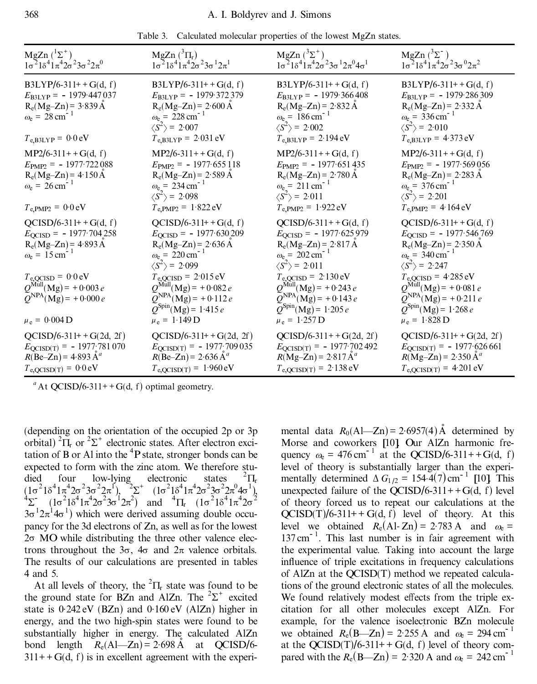|  |  |  |  |  |  | Table 3. Calculated molecular properties of the lowest MgZn states. |
|--|--|--|--|--|--|---------------------------------------------------------------------|
|--|--|--|--|--|--|---------------------------------------------------------------------|

| $MgZn({}^{1}\Sigma^{+})$<br>$1\sigma^2 1\delta^4 1\pi^4 2\sigma^2 3\sigma^2 2\pi^0$                                                                                                                                                                                    | MgZn $({}^3\Pi_{\rm r})$<br>$1\sigma^2 1\delta^4 1\pi^4 2\sigma^2 3\sigma^1 2\pi^1$                                                                                                                                                                                                                                                                        | MgZn $(^{3}\Sigma^{+})$<br>$1\sigma^2 1\delta^4 1\pi^4 2\sigma^2 3\sigma^1 2\pi^0 4\sigma^1$                                                                                                                                                                                                                                                    | MgZn $(^{3}\Sigma^{-})$<br>$1\sigma^2 1\delta^4 1\pi^4 2\sigma^2 3\sigma^0 2\pi^2$                                                                                                                                                                                                                                                                                        |
|------------------------------------------------------------------------------------------------------------------------------------------------------------------------------------------------------------------------------------------------------------------------|------------------------------------------------------------------------------------------------------------------------------------------------------------------------------------------------------------------------------------------------------------------------------------------------------------------------------------------------------------|-------------------------------------------------------------------------------------------------------------------------------------------------------------------------------------------------------------------------------------------------------------------------------------------------------------------------------------------------|---------------------------------------------------------------------------------------------------------------------------------------------------------------------------------------------------------------------------------------------------------------------------------------------------------------------------------------------------------------------------|
| $B3LYP/6-311++G(d, f)$<br>$E_{\text{B3LYP}} = -1979.447037$<br>$R_e(Mg-Zn) = 3.839 \text{ Å}$<br>$\omega_e = 28 \text{ cm}^{-1}$<br>$T_{e,B3LYP} = 0.0 eV$                                                                                                             | $B3LYP/6-311++G(d, f)$<br>$E_{\text{B3LYP}} = -1979.372379$<br>$R_e(Mg-Zn) = 2.600 \text{ Å}$<br>$\omega_e = 228 \text{ cm}^{-1}$<br>$\langle S^2 \rangle$ = 2.007<br>$T_{e,B3LYP} = 2.031 \text{ eV}$                                                                                                                                                     | $B3LYP/6-311++G(d, f)$<br>$E_{\text{B3LYP}} = -1979.366408$<br>$R_e(Mg-Zn) = 2.832 \text{ Å}$<br>$\omega_e = 186 \text{ cm}^{-1}$<br>$\langle S^2 \rangle$ = 2.002<br>$T_{e,B3LYP} = 2.194 eV$                                                                                                                                                  | $B3LYP/6-311++G(d, f)$<br>$E_{\text{B3LYP}} = -1979.286309$<br>$R_e(Mg-Zn) = 2.332 \text{ Å}$<br>$\omega_e = 336 \text{ cm}^{-1}$<br>$\langle S^2 \rangle$ = 2.010<br>$T_{e,B3LYP} = 4.373 \text{ eV}$                                                                                                                                                                    |
| $MP2/6-311++G(d, f)$<br>$E_{\text{PMP2}} = -1977.722088$<br>$R_e(Mg-Zn) = 4.150 \text{ Å}$<br>$\omega_e = 26 \text{ cm}^{-1}$<br>$T_{\rm e, PMP2} = 0.0 \,\rm eV$                                                                                                      | $MP2/6-311++G(d, f)$<br>$E_{\text{PMP2}} = -1977.655118$<br>$R_e(Mg-Zn) = 2.589 \text{ Å}$<br>$\omega_e = 234 \text{ cm}^{-1}$<br>$\langle S^2 \rangle$ = 2.098<br>$T_{e, PMP2} = 1.822 eV$                                                                                                                                                                | $MP2/6-311++G(d, f)$<br>$E_{\text{PMP2}} = -1977.651435$<br>$R_e(Mg-Zn) = 2.780 \text{ Å}$<br>$\omega_e = 211 \text{ cm}^{-1}$<br>$\langle S^2 \rangle$ = 2.011<br>$T_{e, PMP2} = 1.922 eV$                                                                                                                                                     | $MP2/6-311++G(d, f)$<br>$E_{\text{PMP2}} = -1977.569056$<br>$R_e(Mg-Zn) = 2.283 \text{ Å}$<br>$\omega_e = 376 \text{ cm}^{-1}$<br>$\langle S^2 \rangle$ = 2.201<br>$T_{\rm e, PMP2} = 4.164 \,\rm eV$                                                                                                                                                                     |
| $QCISD/6-311++G(d, f)$<br>$E_{\text{QCISD}} = -1977.704258$<br>$R_e(Mg-Zn) = 4.893 \text{ Å}$<br>$\omega_e = 15 \text{ cm}^{-1}$<br>$T_{\text{e,QCISD}} = 0.0 \text{ eV}$<br>$Q^{\text{Mul}}(Mg) = +0.003 e$<br>$\tilde{Q}^{NPA} (Mg) = +0.000 e$<br>$\mu_e = 0.004$ D | $QCISD/6-311++G(d, f)$<br>$E_{\text{QCISD}} = -1977.630209$<br>$R_e(Mg-Zn) = 2.636 \text{ Å}$<br>$\omega_e = 220 \text{ cm}^{-1}$<br>$\langle S^2 \rangle$ = 2.099<br>$T_{\text{e,QCISD}} = 2.015 \text{ eV}$<br>$Q^{\text{Mul}}(Mg) = +0.082 e$<br>$\tilde{Q}^{NPA}(\text{Mg}) = +0.112 e$<br>$Q^{\text{Spin}}(\text{Mg}) = 1.415 e$<br>$\mu_e = 1.149$ D | $QCISD/6-311++G(d, f)$<br>$E_{\text{QCISD}} = -1977.625979$<br>$R_e(Mg-Zn) = 2.817 \text{ Å}$<br>$\omega_e = 202 \text{ cm}^{-1}$<br>$\langle S^2 \rangle$ = 2.011<br>$T_{\rm e,QCISD} = 2.130 \,\rm eV$<br>$Q^{\text{Mul}}(Mg) = +0.243 e$<br>$\tilde{Q}^{NPA} (Mg) = +0.143 e$<br>$Q^{\text{Spin}}(\text{Mg}) = 1.205 e$<br>$\mu_e = 1.257 D$ | $QCISD/6-311++G(d, f)$<br>$E_{\text{QCISD}} = -1977.546.769$<br>$R_e(Mg-Zn) = 2.350 \text{ Å}$<br>$\omega_{\rm e}$ = 340 cm <sup>-1</sup><br>$\langle S^2 \rangle$ = 2.247<br>$T_{\rm e,QCISD} = 4.285 \,\rm eV$<br>$Q^{\text{Mul}}(Mg) = +0.081 e$<br>$\widetilde{Q}^{NPA}(\text{Mg}) = +0.211 e$<br>$Q^{\text{Spin}}(\text{Mg}) = 1.268 e$<br>$\mu_e = 1.828 \text{ D}$ |
| $QCISD/6-311++G(2d, 2f)$<br>$E_{\text{QCISD(T)}} = -1977.781070$<br>$R(Be-Zn) = 4.893 \text{ Å}^a$<br>$T_{e,QCISD(T)} = 0.0 eV$                                                                                                                                        | $QCISD/6-311++G(2d, 2f)$<br>$E_{\text{QCISD(T)}} = -1977.709035$<br>$R(Be-Zn) = 2.636 \text{ Å}^a$<br>$T_{e,QCISD(T)} = 1.960 \text{ eV}$                                                                                                                                                                                                                  | $QCISD/6-311++G(2d, 2f)$<br>$E_{\text{QCISD}(T)} = -1977.702492$<br>$R(Mg-Zn) = 2.817 \AA^a$<br>$T_{e,QCISD(T)} = 2.138 \text{ eV}$                                                                                                                                                                                                             | $QCISD/6-311++G(2d, 2f)$<br>$E_{\text{QCISD(T)}} = -1977.626661$<br>$R(Mg-Zn) = 2.350 \text{ Å}^a$<br>$T_{e,QCISD(T)} = 4.201 \text{ eV}$                                                                                                                                                                                                                                 |

(depending on the orientation of the occupied 2p or 3p orbital)  ${}^{2}\Pi_{r}$  or  ${}^{2}\Sigma^{+}$  electronic states. After electron excitation of B or Al into the  ${}^{4}P$  state, stronger bonds can be expected to form with the zinc atom. We therefore stu-<br>died four low-lying electronic states  ${}^{2}$  $\Pi$ <sub>r</sub> died four low-lying electronic states  ${}^{2} \Pi_{r}$  $(1\sigma^2 1\delta^4 1\pi^4 2\sigma^2 3\sigma^2 2\pi^1)$ ,  $\sigma^2 \Sigma^+$   $(1\sigma^2 1\delta^4 1\pi^4 2\sigma^2 3\sigma^2 2\pi^0 4\sigma^1)$ ,<br>  $\sigma^4 \Sigma^ (1\sigma^2 1\delta^4 1\pi^4 2\sigma^2 3\sigma^1 2\pi^2)$  and  $\sigma^4 \Pi_r$   $(1\sigma^2 1\delta^4 1\pi^4 2\sigma^2)$  $3\sigma^{1}2\pi^{1}4\sigma^{1}$ ) which were derived assuming double occupancy for the 3d electrons of Zn, as well as for the lowest  $2\sigma$  MO while distributing the three other valence electrons throughout the  $3\sigma$ ,  $4\sigma$  and  $2\pi$  valence orbitals. The results of our calculations are presented in tables 4 and 5.

At all levels of theory, the  ${}^{2}$  $\Pi$ <sub>r</sub> state was found to be the ground state for BZn and AlZn. The  ${}^{2}\Sigma^{+}$  excited state is 0 .242 eV (BZn) and 0 .160 eV (AlZn) higher in energy, and the two high-spin states were found to be substantially higher in energy. The calculated AlZn bond length  $R_e(A|{-}Z_n) = 2.698 \text{ Å}$  at QCISD/6- $311++G(d, f)$  is in excellent agreement with the experi-

mental data  $R_0(A|\text{---}Z_n) = 2.6957(4)$  Å determined by Morse and coworkers [10]. Our AlZn harmonic frequency  $\omega_e = 476 \text{ cm}^{-1}$  at the QCISD/6-311++G(d, f) level of theory is substantially larger than the experimentally determined  $\Delta G_{1/2} = 154.4(7) \text{ cm}^{-1}$  [10]. This unexpected failure of the QCISD/6-311++G(d, f) level of theory forced us to repeat our calculations at the  $QCISD(T)/6-311++ G(d, f)$  level of theory. At this level we obtained  $R_e(A1-Zn) = 2.783 \text{ Å}$  and  $\omega_e =$  $137 \text{ cm}^{-1}$ . This last number is in fair agreement with the experimental value. Taking into account the large influence of triple excitations in frequency calculations of AlZn at the QCISD(T) method we repeated calculations of the ground electronic states of all the molecules. We found relatively modest effects from the triple excitation for all other molecules except AlZn. For example, for the valence isoelectronic BZn molecule we obtained  $R_e(B-Zn) = 2.255$  A and  $\omega_e = 294$  cm<sup>-1</sup> at the  $QCISD(T)/6-311++ G(d, f)$  level of theory compared with the  $R_e(B-Zn) = 2.320$  A and  $\omega_e = 242$  cm<sup>-1</sup>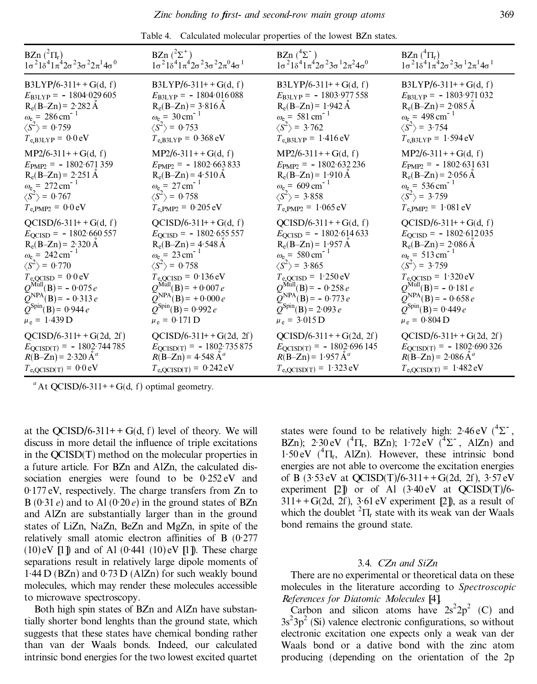| BZn $(^{2}\Pi_{r})$                                               | BZn $(^{2}\Sigma^{+})$                                            | BZn $(^{4}\Sigma^{-})$                                            | BZn $({}^4\Pi_r)$                                                 |
|-------------------------------------------------------------------|-------------------------------------------------------------------|-------------------------------------------------------------------|-------------------------------------------------------------------|
| $1\sigma^2 1\delta^4 1\pi^4 2\sigma^2 3\sigma^2 2\pi^1 4\sigma^0$ | $1\sigma^2 1\delta^4 1\pi^4 2\sigma^2 3\sigma^2 2\pi^0 4\sigma^1$ | $1\sigma^2 1\delta^4 1\pi^4 2\sigma^2 3\sigma^1 2\pi^2 4\sigma^0$ | $1\sigma^2 1\delta^4 1\pi^4 2\sigma^2 3\sigma^1 2\pi^1 4\sigma^1$ |
| $B3LYP/6-311++G(d, f)$                                            | $B3LYP/6-311++G(d, f)$                                            | $B3LYP/6-311++G(d, f)$                                            | $B3LYP/6-311++G(d, f)$                                            |
| $E_{\text{B3LYP}} = -1804.029605$                                 | $E_{\text{B3LYP}} = -1804.016088$                                 | $E_{B3LYP} = -1803.977558$                                        | $E_{\text{B3LYP}} = -1803.971032$                                 |
| $R_e(B-Zn) = 2.282 \text{ Å}$                                     | $R_e(B-Zn) = 3.816 \text{ Å}$                                     | $R_e(B-Zn) = 1.942 \text{ Å}$                                     | $R_e(B-Zn) = 2.085 \text{ Å}$                                     |
| $\omega_e = 286 \text{ cm}^{-1}$                                  | $\omega_e = 30 \text{ cm}^{-1}$                                   | $\omega_e = 581 \text{ cm}^{-1}$                                  | $\omega_e = 498 \text{ cm}^{-1}$                                  |
| $\langle S^2 \rangle$ = 0.759                                     | $\langle S^2 \rangle$ = 0.753                                     | $\langle S^2 \rangle$ = 3.762                                     | $\langle S^2 \rangle$ = 3.754                                     |
| $T_{e,B3LYP} = 0.0 eV$                                            | $T_{e,B3LYP} = 0.368 \text{ eV}$                                  | $T_{e,B3LYP} = 1.416 \text{ eV}$                                  | $T_{e,B3LYP} = 1.594 eV$                                          |
| $MP2/6-311++G(d, f)$                                              | $MP2/6-311++G(d, f)$                                              | $MP2/6-311++G(d, f)$                                              | $MP2/6-311++G(d, f)$                                              |
| $E_{\text{PMP2}} = -1802.671359$                                  | $E_{\text{PMP2}} = -1802.663833$                                  | $E_{\text{PMP2}} = -1802.632236$                                  | $E_{\text{PMP2}} = -1802.631631$                                  |
| $R_e(B-Zn) = 2.251 \text{ Å}$                                     | $R_e(B-Zn) = 4.510 \text{ Å}$                                     | $R_e(B-Zn) = 1.910 \text{ Å}$                                     | $R_e(B-Zn) = 2.056 A$                                             |
| $\omega_e = 272 \text{ cm}^{-1}$                                  | $\omega_e = 27 \text{ cm}^{-1}$                                   | $\omega_e = 609 \text{ cm}^{-1}$                                  | $\omega_e$ = 536 cm <sup>-1</sup>                                 |
| $\langle S^2 \rangle$ = 0.767                                     | $\langle S^2 \rangle$ = 0.758                                     | $\langle S^2 \rangle$ = 3.858                                     | $\langle S^2 \rangle$ = 3.759                                     |
| $T_{\text{e,}PMP2} = 0.0 \text{ eV}$                              | $T_{\rm e, PMP2} = 0.205 \,\rm eV$                                | $T_{e, PMP2} = 1.065 eV$                                          | $T_{\rm e, PMP2} = 1.081 \text{ eV}$                              |
| $QCISD/6-311++G(d, f)$                                            | $QCISD/6-311++G(d, f)$                                            | $QCISD/6-311++G(d, f)$                                            | $QCISD/6-311++G(d, f)$                                            |
| $E_{\text{QCISD}} = -1802.660557$                                 | $E_{\text{QCISD}} = -1802.655557$                                 | $E_{\text{QCISD}} = -1802.614633$                                 | $E_{\text{QCISD}} = -1802.612035$                                 |
| $R_e(B-Zn) = 2.320 \text{ Å}$                                     | $R_e(B-Zn) = 4.548 \text{ Å}$                                     | $R_e(B-Zn) = 1.957 A$                                             | $R_e(B-Zn) = 2.086 \text{ Å}$                                     |
| $\omega_e = 242 \text{ cm}^{-1}$                                  | $\omega_e = 23 \text{ cm}^{-1}$                                   | $\omega_e$ = 580 cm <sup>-1</sup>                                 | $\omega_e = 513 \text{ cm}^{-1}$                                  |
| $\langle S^2 \rangle$ = 0.770                                     | $\langle S^2 \rangle$ = 0.758                                     | $\langle S^2 \rangle$ = 3.865                                     | $\langle S^2 \rangle$ = 3.759                                     |
| $T_{\text{e,QCISD}} = 0.0 \text{ eV}$                             | $T_{\text{e,QCISD}} = 0.136 \text{ eV}$                           | $T_{\text{e,QCISD}} = 1.250 \text{ eV}$                           | $T_{\text{e,QCISD}} = 1.320 \text{ eV}$                           |
| $Q^{\text{Mul}}(B) = -0.075 e$                                    | $Q^{\text{Mul}}(B) = +0.007 e$                                    | $Q^{\text{Mull}}(B) = -0.258 e$                                   | $Q^{\text{Mul}}(B) = -0.181 e$                                    |
| $\overline{Q}^{NPA}(B) = -0.313 e$                                | $\widetilde{Q}^{NPA}(\widetilde{B}) = +0.000 e$                   | $\widetilde{Q}^{NPA}(B) = -0.773 e$                               | $\tilde{Q}^{NPA}(\tilde{B}) = -0.658 e$                           |
| $Q^{\text{Spin}}(B) = 0.944 e$                                    | $Q^{\text{Spin}}(B) = 0.992 e$                                    | $Q^{\text{Spin}}(\text{B}) = 2.093 e$                             | $Q^{\text{Spin}}(B) = 0.449 e$                                    |
| $\mu_e = 1.439 D$                                                 | $\mu_e = 0.171$ D                                                 | $\mu_e = 3.015$ D                                                 | $\mu_e = 0.804$ D                                                 |
| $QCISD/6-311++G(2d, 2f)$                                          | $QCISD/6-311++G(2d, 2f)$                                          | $QCISD/6-311++G(2d, 2f)$                                          | $QCISD/6-311++G(2d, 2f)$                                          |
| $E_{\text{QCISD(T)}} = -1802.744785$                              | $E_{\text{QCISD(T)}} = -1802.735875$                              | $E_{\text{QCISD(T)}} = -1802.696145$                              | $E_{\text{QCISD(T)}} = -1802.690326$                              |
| $R(B-Zn) = 2.320 \text{ Å}^a$                                     | $R(B-Zn) = 4.548 \text{ Å}^a$                                     | $R(B-Zn) = 1.957 \text{ Å}^a$                                     | $R(B-Zn) = 2.086 \text{ Å}^a$                                     |
| $T_{\text{e,QCISD}(T)} = 0.0 \text{ eV}$                          | $T_{e,QCISD(T)} = 0.242 eV$                                       | $T_{e,QCISD(T)} = 1.323 \text{ eV}$                               | $T_{e,QCISD(T)} = 1.482 \text{ eV}$                               |

Table 4. Calculated molecular properties of the lowest BZn states.

at the QCISD/6-311++ G(d, f) level of theory. We will discuss in more detail the influence of triple excitations in the QCISD(T) method on the molecular properties in a future article. For BZn and AlZn, the calculated dissociation energies were found to be 0.252 eV and 0 .177 eV, respectively. The charge transfers from Zn to  $B(0.31 e)$  and to Al  $(0.20 e)$  in the ground states of BZn and AlZn are substantially larger than in the ground states of LiZn, NaZn, BeZn and MgZn, in spite of the relatively small atomic electron affinities of B  $(0.277)$  $(10)$  eV  $[1]$  and of Al  $(0.441 \ (10)$  eV  $[1]$ ). These charge separations result in relatively large dipole moments of  $1.44$  D (BZn) and  $0.73$  D (AlZn) for such weakly bound molecules, which may render these molecules accessible to microwave spectroscopy.

Both high spin states of BZn and AlZn have substantially shorter bond lenghts than the ground state, which suggests that these states have chemical bonding rather than van der Waals bonds. Indeed, our calculated intrinsic bond energies for the two lowest excited quartet

states were found to be relatively high:  $2.46 \text{ eV}$  ( $4\Sigma$ , BZn); 2:30 eV  $(^{4}$  $\Pi_{r}$ , BZn); 1:72 eV  $(^{4}$  $\Sigma^{-}$ , AlZn) and  $1.50 \text{ eV}$  ( ${}^4\Pi_r$ , AlZn). However, these intrinsic bond energies are not able to overcome the excitation energies of  $\overline{B}$  (3.53 eV at QCISD(T)/6-311++G(2d, 2f), 3.57 eV experiment  $[2]$  or of Al  $(3.40 \text{ eV}$  at  $QCISD(T)/6$ - $311++G(2d, 2f)$ ,  $3.61 \text{ eV experiment}$  [2]), as a result of which the doublet  ${}^{2}\Pi_{r}$  state with its weak van der Waals bond remains the ground state.

### 3.4. *CZn and SiZn*

There are no experimental or theoretical data on these molecules in the literature according to *Spectroscopic References for Diatomic Molecules* [4].

Carbon and silicon atoms have  $2s^2 2p^2$  (C) and  $3s^23p^2$  (Si) valence electronic configurations, so without electronic excitation one expects only a weak van der Waals bond or a dative bond with the zinc atom producing (depending on the orientation of the 2p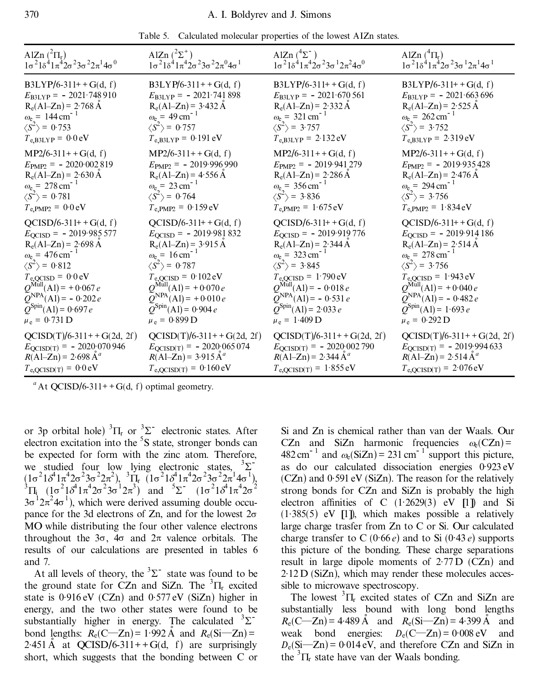| Table 5. Calculated molecular properties of the lowest AIZn states. |  |
|---------------------------------------------------------------------|--|
|---------------------------------------------------------------------|--|

| AlZn $(^{2}\Pi_{r})$                                                                                                                                                                                                                                                                                                                             | AlZn $(^{2}\Sigma^{+})$                                                                                                                                                                                                                                                                                                                        | AlZn $(^{4}\Sigma^{-})$                                                                                                                                                                                                                                                                                                                      | AlZn $({}^{4}\Pi_{r})$                                                                                                                                                                                                                                                                                                                           |
|--------------------------------------------------------------------------------------------------------------------------------------------------------------------------------------------------------------------------------------------------------------------------------------------------------------------------------------------------|------------------------------------------------------------------------------------------------------------------------------------------------------------------------------------------------------------------------------------------------------------------------------------------------------------------------------------------------|----------------------------------------------------------------------------------------------------------------------------------------------------------------------------------------------------------------------------------------------------------------------------------------------------------------------------------------------|--------------------------------------------------------------------------------------------------------------------------------------------------------------------------------------------------------------------------------------------------------------------------------------------------------------------------------------------------|
| $1\sigma^2$ $1\delta^4$ $1\pi^4$ $2\sigma^2$ $3\sigma^2$ $2\pi^1$ $4\sigma^0$                                                                                                                                                                                                                                                                    | $1\sigma^2 1\delta^4 1\pi^4 2\sigma^2 3\sigma^2 2\pi^0 4\sigma^1$                                                                                                                                                                                                                                                                              | $1\sigma^2 1\delta^4 1\pi^4 2\sigma^2 3\sigma^1 2\pi^2 4\sigma^0$                                                                                                                                                                                                                                                                            | $1\sigma^2 1\delta^4 1\pi^4 2\sigma^2 3\sigma^1 2\pi^1 4\sigma^1$                                                                                                                                                                                                                                                                                |
| $B3LYP/6-311++G(d, f)$                                                                                                                                                                                                                                                                                                                           | $B3LYP/6-311++G(d, f)$                                                                                                                                                                                                                                                                                                                         | $B3LYP/6-311++G(d, f)$                                                                                                                                                                                                                                                                                                                       | $B3LYP/6-311++G(d, f)$                                                                                                                                                                                                                                                                                                                           |
| $E_{\text{B3LYP}} = -2021.748910$                                                                                                                                                                                                                                                                                                                | $E_{\text{B3LYP}} = -2021.741898$                                                                                                                                                                                                                                                                                                              | $E_{\text{B3LYP}} = -2021.670561$                                                                                                                                                                                                                                                                                                            | $E_{\text{B3LYP}} = -2021.663696$                                                                                                                                                                                                                                                                                                                |
| $R_e(A1-Zn) = 2.768 \text{ Å}$                                                                                                                                                                                                                                                                                                                   | $R_e(AI-Zn) = 3.432 \text{ Å}$                                                                                                                                                                                                                                                                                                                 | $R_e(AI-Zn) = 2.332 \text{ Å}$                                                                                                                                                                                                                                                                                                               | $R_e(AI-Zn) = 2.525 \text{ Å}$                                                                                                                                                                                                                                                                                                                   |
| $\omega_e = 144 \text{ cm}^{-1}$                                                                                                                                                                                                                                                                                                                 | $\omega_e = 49 \text{ cm}^{-1}$                                                                                                                                                                                                                                                                                                                | $\omega_e = 321 \text{ cm}^{-1}$                                                                                                                                                                                                                                                                                                             | $\omega_e = 262 \text{ cm}^{-1}$                                                                                                                                                                                                                                                                                                                 |
| $\langle S^2 \rangle$ = 0.753                                                                                                                                                                                                                                                                                                                    | $\langle S^2 \rangle$ = 0.757                                                                                                                                                                                                                                                                                                                  | $\langle S^2 \rangle$ = 3.757                                                                                                                                                                                                                                                                                                                | $\langle S^2 \rangle$ = 3.752                                                                                                                                                                                                                                                                                                                    |
| $T_{e,B3LYP} = 0.0 eV$                                                                                                                                                                                                                                                                                                                           | $T_{e,B3LYP} = 0.191 eV$                                                                                                                                                                                                                                                                                                                       | $T_{e,B3LYP} = 2.132 eV$                                                                                                                                                                                                                                                                                                                     | $T_{e,B3LYP} = 2.319 \text{ eV}$                                                                                                                                                                                                                                                                                                                 |
| $MP2/6-311++G(d, f)$                                                                                                                                                                                                                                                                                                                             | $MP2/6-311++G(d, f)$                                                                                                                                                                                                                                                                                                                           | $MP2/6-311++G(d, f)$                                                                                                                                                                                                                                                                                                                         | $MP2/6-311++G(d, f)$                                                                                                                                                                                                                                                                                                                             |
| $E_{\text{PMP2}} = -2020.002819$                                                                                                                                                                                                                                                                                                                 | $E_{\text{PMP2}} = -2019.996990$                                                                                                                                                                                                                                                                                                               | $E_{\text{PMP2}} = -2019.941279$                                                                                                                                                                                                                                                                                                             | $E_{\text{PMP2}} = -2019.935428$                                                                                                                                                                                                                                                                                                                 |
| $R_e(A1-Zn) = 2.630 \text{ Å}$                                                                                                                                                                                                                                                                                                                   | $R_e(A1-Zn) = 4.556 \text{ Å}$                                                                                                                                                                                                                                                                                                                 | $R_e(A1-Zn) = 2.286 \text{ Å}$                                                                                                                                                                                                                                                                                                               | $R_e(AI-Zn) = 2.476 \text{ Å}$                                                                                                                                                                                                                                                                                                                   |
| $\omega_e = 278 \text{ cm}^{-1}$                                                                                                                                                                                                                                                                                                                 | $\omega_e = 23 \text{ cm}^{-1}$                                                                                                                                                                                                                                                                                                                | $\omega_e$ = 356 cm <sup>-1</sup>                                                                                                                                                                                                                                                                                                            | $\omega_e = 294 \text{ cm}^{-1}$                                                                                                                                                                                                                                                                                                                 |
| $\langle S^2 \rangle$ = 0.781                                                                                                                                                                                                                                                                                                                    | $\langle S^2 \rangle$ = 0.764                                                                                                                                                                                                                                                                                                                  | $\langle S^2 \rangle$ = 3.836                                                                                                                                                                                                                                                                                                                | $\langle S^2 \rangle$ = 3.756                                                                                                                                                                                                                                                                                                                    |
| $T_{\text{e,}PMP2} = 0.0 \text{ eV}$                                                                                                                                                                                                                                                                                                             | $T_{e, PMP2} = 0.159 eV$                                                                                                                                                                                                                                                                                                                       | $T_{e, PMP2} = 1.675 eV$                                                                                                                                                                                                                                                                                                                     | $T_{e, PMP2} = 1.834 eV$                                                                                                                                                                                                                                                                                                                         |
| $QCISD/6-311++G(d, f)$<br>$E_{\text{QCISD}} = -2019.985577$<br>$R_e(A1-Zn) = 2.698 \text{ Å}$<br>$\omega_{e}$ = 476 cm <sup>-1</sup><br>$\langle S^2 \rangle$ = 0.812<br>$T_{\text{e,QCISD}} = 0.0 \text{ eV}$<br>$Q^{\text{Mul}}(A1) = +0.067 e$<br>$\overline{Q}^{NPA}(A1) = -0.202 e$<br>$Q^{\text{Spin}}(A1) = 0.697 e$<br>$\mu_e = 0.731$ D | $QCISD/6-311++G(d, f)$<br>$E_{\text{QCISD}} = -2019.981832$<br>$R_e(A1-Zn) = 3.915 \text{ Å}$<br>$\omega_e = 16 \text{ cm}^{-1}$<br>$\langle S^2 \rangle$ = 0.787<br>$T_{\text{e,QCISD}} = 0.102 \text{eV}$<br>$Q^{\text{Mul}}(A1) = +0.070 e$<br>$\widetilde{Q}^{NPA}(A1) = +0.010 e$<br>$Q^{\text{Spin}}(A1) = 0.904 e$<br>$\mu_e = 0.899 D$ | $QCISD/6-311++G(d, f)$<br>$E_{\text{QCISD}} = -2019.919776$<br>$R_e(A1-Zn) = 2.344 \text{ Å}$<br>$\omega_e = 323 \text{ cm}^{-1}$<br>$\langle S^2 \rangle$ = 3.845<br>$T_{\rm e,QCISD} = 1.790 \,\rm eV$<br>$Q^{\text{MulI}}(A1) = -0.018 e$<br>$\widetilde{Q}^{NPA}(A1) = -0.531 e$<br>$Q^{\text{Spin}}(Al)$ = 2.033 e<br>$\mu_e = 1.409 D$ | $QCISD/6-311++G(d, f)$<br>$E_{\text{QCISD}} = -2019.914186$<br>$R_e(A1-Zn) = 2.514 \text{ Å}$<br>$\omega_e = 278 \text{ cm}^{-1}$<br>$\langle S^2 \rangle$ = 3.756<br>$T_{\text{e,QCISD}} = 1.943 \text{ eV}$<br>$Q^{\text{Mul}}(A1) = +0.040 e$<br>$\widetilde{Q}^{NPA}(A1) = -0.482 e$<br>$Q^{\text{Spin}}(A1) = 1.693 e$<br>$\mu_e = 0.292 D$ |
| $QCISD(T)/6-311++G(2d, 2f)$                                                                                                                                                                                                                                                                                                                      | $QCISD(T)/6-311++G(2d, 2f)$                                                                                                                                                                                                                                                                                                                    | $QCISD(T)/6-311++G(2d, 2f)$                                                                                                                                                                                                                                                                                                                  | $QCISD(T)/6-311++G(2d, 2f)$                                                                                                                                                                                                                                                                                                                      |
| $E_{\text{QCISD(T)}} = -2020.070946$                                                                                                                                                                                                                                                                                                             | $E_{\text{QCISD(T)}} = -2020.065074$                                                                                                                                                                                                                                                                                                           | $E_{\text{QCISD(T)}} = -2020.002790$                                                                                                                                                                                                                                                                                                         | $E_{\text{QCISD(T)}} = -2019.994633$                                                                                                                                                                                                                                                                                                             |
| $R(A1-Zn) = 2.698 \text{ Å}^a$                                                                                                                                                                                                                                                                                                                   | $R(A1-Zn) = 3.915 \text{ Å}^a$                                                                                                                                                                                                                                                                                                                 | $R(A1-Zn) = 2.344 \text{ Å}^a$                                                                                                                                                                                                                                                                                                               | $R(A1-Zn) = 2.514 \text{ Å}^a$                                                                                                                                                                                                                                                                                                                   |
| $T_{e,QCISD(T)} = 0.0 eV$                                                                                                                                                                                                                                                                                                                        | $T_{e,QCISD(T)} = 0.160 \text{ eV}$                                                                                                                                                                                                                                                                                                            | $T_{e,QCISD(T)} = 1.855 eV$                                                                                                                                                                                                                                                                                                                  | $T_{e,QCISD(T)} = 2.076 \text{ eV}$                                                                                                                                                                                                                                                                                                              |

or 3p orbital hole)  ${}^{3}\Pi_{r}$  or  ${}^{3}\Sigma^{-}$  electronic states. After electron excitation into the  ${}^{5}S$  state, stronger bonds can be expected for form with the zinc atom. Therefore, we studied four low lying electronic states,  $3\Sigma^{-1}$  $(1\sigma^2 1\delta^4 1\pi^4 2\sigma^2 3\sigma^2 2\pi^2)$ ,  ${}^3\Pi_r$  ( $1\sigma^2 1\delta^4 1\pi^4 2\sigma^2 3\sigma^2 2\pi^1 4\sigma^1$ ),<br> ${}^3\Pi_i$  ( $1\sigma^2 1\delta^4 1\pi^4 2\sigma^2 3\sigma^1 2\pi^3$ ) and  ${}^5\Sigma^-$  ( $1\sigma^2 1\delta^4 1\pi^4 2\sigma^2$  $3\sigma^{1}2\pi^{2}4\sigma^{1}$ ), which were derived assuming double occupance for the 3d electrons of Zn, and for the lowest  $2\sigma$ MO while distributing the four other valence electrons throughout the  $3\sigma$ ,  $4\sigma$  and  $2\pi$  valence orbitals. The results of our calculations are presented in tables 6 and 7.

At all levels of theory, the  ${}^{3}\Sigma^{-}$  state was found to be the ground state for CZn and SiZn. The  ${}^{3}$  $\Pi_{r}$  excited state is 0.916 eV (CZn) and 0.577 eV (SiZn) higher in energy, and the two other states were found to be substantially higher in energy. The calculated  ${}^{3}\Sigma^{-}$ bond lengths:  $R_e(C-Zn) = 1.992 \text{ Å}$  and  $R_e(Si-Zn) =$ 2.451 Å at QCISD/6-311++G(d, f) are surprisingly short, which suggests that the bonding between C or

Si and Zn is chemical rather than van der Waals. Our CZn and SiZn harmonic frequencies  $\omega_e$ (CZn) =  $482 \text{ cm}^{-1}$  and  $\omega_e(\text{SiZn}) = 231 \text{ cm}^{-1}$  support this picture, as do our calculated dissociation energies 0 .923 eV (CZn) and 0 .591 eV (SiZn). The reason for the relatively strong bonds for CZn and SiZn is probably the high electron affinities of C  $(1.2629(3)$  eV  $[1]$ ) and Si (1.385(5) eV [1]), which makes possible a relatively large charge trasfer from Zn to C or Si. Our calculated charge transfer to C  $(0.66 e)$  and to Si  $(0.43 e)$  supports this picture of the bonding. These charge separations result in large dipole moments of  $2.77\,\mathrm{D}$  (CZn) and 2 .12 D (SiZn), which may render these molecules accessible to microwave spectroscopy.

The lowest  ${}^{3}$  $\Pi$ , excited states of CZn and SiZn are substantially less bound with long bond lengths  $R_e(C-Zn) = 4.489 \text{ Å}$  and  $R_e(Si-Zn) = 4.399 \text{ Å}$  and weak bond energies:  $D_e(C-Zn) = 0.008 \text{ eV}$  and  $D_e(Si-Zn) = 0.014 \text{ eV}$ , and therefore CZn and SiZn in the  ${}^{3}$  $\Pi_{r}$  state have van der Waals bonding.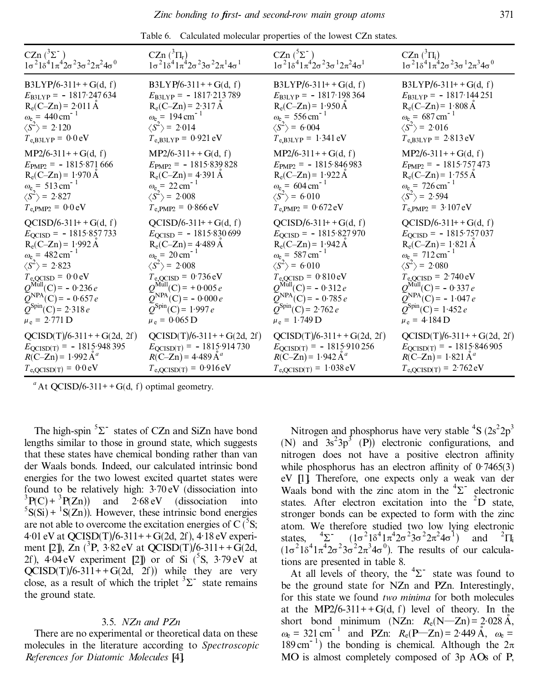| CZn $(^3\Sigma^-$                                                                                                                                                                           | $CZn({}^3\Pi_r)$                                                                                                                                                                              | CZn $(^5\Sigma^-$                                                                                                                                                                      | CZn $({}^3\Pi_i)$                                                                                                                                                                                     |
|---------------------------------------------------------------------------------------------------------------------------------------------------------------------------------------------|-----------------------------------------------------------------------------------------------------------------------------------------------------------------------------------------------|----------------------------------------------------------------------------------------------------------------------------------------------------------------------------------------|-------------------------------------------------------------------------------------------------------------------------------------------------------------------------------------------------------|
| $1\sigma^2 1\delta^4 1\pi^4 2\sigma^2 3\sigma^2 2\pi^2 4\sigma^0$                                                                                                                           | $1\sigma^2 1\delta^4 1\pi^4 2\sigma^2 3\sigma^2 2\pi^1 4\sigma^1$                                                                                                                             | $1\sigma^2 1\delta^4 1\pi^4 2\sigma^2 3\sigma^1 2\pi^2 4\sigma^1$                                                                                                                      | $1\sigma^2 1\delta^4 1\pi^4 2\sigma^2 3\sigma^1 2\pi^3 4\sigma^0$                                                                                                                                     |
| $B3LYP/6-311++G(d, f)$<br>$E_{\text{B3LYP}} = -1817.247634$<br>$R_e(C-Zn) = 2.011 \text{ Å}$<br>$\omega_e = 440 \text{ cm}^{-1}$<br>$\langle S^2 \rangle$ = 2.120<br>$T_{e,B3LYP} = 0.0 eV$ | $B3LYP/6-311++G(d, f)$<br>$E_{\text{B3LYP}} = -1817.213789$<br>$R_e(C-Zn) = 2.317 \text{ Å}$<br>$\omega_e = 194 \text{ cm}^{-1}$<br>$\langle S^2 \rangle$ = 2.014<br>$T_{e,B3LYP} = 0.921 eV$ | $B3LYP/6-311++G(d, f)$<br>$E_{B3LYP} = -1817.198364$<br>$R_e(C-Zn) = 1.950 \text{ Å}$<br>$\omega_e = 556 \text{ cm}^{-1}$<br>$\langle S^2 \rangle$ = 6.004<br>$T_{e,B3LYP} = 1.341 eV$ | $B3LYP/6-311++G(d, f)$<br>$E_{\text{B3LYP}} = -1817.144251$<br>$R_e(C-Zn) = 1.808 \text{ Å}$<br>$\omega_e = 687 \text{ cm}^{-1}$<br>$\langle S^2 \rangle$ = 2.016<br>$T_{e,B3LYP} = 2.813 \text{ eV}$ |
| $MP2/6-311++G(d, f)$                                                                                                                                                                        | $MP2/6-311++G(d, f)$                                                                                                                                                                          | $MP2/6-311++G(d, f)$                                                                                                                                                                   | $MP2/6-311++G(d, f)$                                                                                                                                                                                  |
| $E_{\text{PMP2}} = -1815.871666$                                                                                                                                                            | $E_{\text{PMP2}} = -1815.839828$                                                                                                                                                              | $E_{\text{PMP2}} = -1815.846983$                                                                                                                                                       | $E_{\text{PMP2}} = -1815.757473$                                                                                                                                                                      |
| $R_e(C-Zn) = 1.970 \text{ Å}$                                                                                                                                                               | $R_e(C-Zn) = 4.391 \text{ Å}$                                                                                                                                                                 | $R_e(C-Zn) = 1.922 \text{ Å}$                                                                                                                                                          | $R_e(C-Zn) = 1.755 \text{ Å}$                                                                                                                                                                         |
| $\omega_e = 513 \text{ cm}^{-1}$                                                                                                                                                            | $\omega_e = 22 \text{ cm}^{-1}$                                                                                                                                                               | $\omega_e = 604 \text{ cm}^{-1}$                                                                                                                                                       | $\omega_e$ = 726 cm <sup>-1</sup>                                                                                                                                                                     |
| $\langle S^2 \rangle$ = 2.827                                                                                                                                                               | $\langle S^2 \rangle$ = 2.008                                                                                                                                                                 | $\langle S^2 \rangle$ = 6.010                                                                                                                                                          | $\langle S^2 \rangle$ = 2.594                                                                                                                                                                         |
| $T_{\rm e, PMP2} = 0.0 \,\rm eV$                                                                                                                                                            | $T_{e, PMP2} = 0.866 eV$                                                                                                                                                                      | $T_{\rm e, PMP2} = 0.672 \, \rm eV$                                                                                                                                                    | $T_{e, PMP2} = 3.107 eV$                                                                                                                                                                              |
| $QCISD/6-311++G(d, f)$                                                                                                                                                                      | $QCISD/6-311++G(d, f)$                                                                                                                                                                        | $QCISD/6-311++G(d, f)$                                                                                                                                                                 | $QCISD/6-311++G(d, f)$                                                                                                                                                                                |
| $E_{\text{QCISD}} = -1815.857733$                                                                                                                                                           | $E_{\text{QCISD}} = -1815.830699$                                                                                                                                                             | $E_{\text{QCISD}} = -1815.827970$                                                                                                                                                      | $E_{\text{QCISD}} = -1815.757037$                                                                                                                                                                     |
| $R_e(C-Zn) = 1.992 \text{ Å}$                                                                                                                                                               | $R_e(C-Zn) = 4.489 \text{ Å}$                                                                                                                                                                 | $R_e(C-Zn) = 1.942 \text{ Å}$                                                                                                                                                          | $R_e(C-Zn) = 1.821 \text{ Å}$                                                                                                                                                                         |
| $\omega_{\rm e}$ = 482 cm <sup>-1</sup>                                                                                                                                                     | $\omega_{e}$ = 20 cm <sup>-1</sup>                                                                                                                                                            | $\omega_{e}$ = 587 cm <sup>-1</sup>                                                                                                                                                    | $\omega_e$ = 712 cm <sup>-1</sup>                                                                                                                                                                     |
| $\langle S^2 \rangle$ = 2.823                                                                                                                                                               | $\langle S^2 \rangle$ = 2.008                                                                                                                                                                 | $\langle S^2 \rangle$ = 6.010                                                                                                                                                          | $\langle S^2 \rangle$ = 2.080                                                                                                                                                                         |
| $T_{\text{e,QCISD}} = 0.0 \text{ eV}$                                                                                                                                                       | $T_{\text{e,QCISD}} = 0.736 \text{ eV}$                                                                                                                                                       | $T_{\text{e,QCISD}} = 0.810 \text{ eV}$                                                                                                                                                | $T_{\text{e,QCISD}} = 2.740 \text{ eV}$                                                                                                                                                               |
| $Q^{\text{Mull}}(C) = -0.236 e$                                                                                                                                                             | $Q^{\text{Mul}}(C) = +0.005 e$                                                                                                                                                                | $Q^{\text{Mul}}(C) = -0.312 e$                                                                                                                                                         | $Q^{\text{Mul}}(C) = -0.337 e$                                                                                                                                                                        |
| $\overline{Q}^{NPA}(C) = -0.657 e$                                                                                                                                                          | $\widetilde{Q}^{NPA}(\mathbf{C}) = -0.000 e$                                                                                                                                                  | $\widetilde{Q}^{NPA}(\text{C}) = -0.785 e$                                                                                                                                             | $\tilde{Q}^{NPA}(\tilde{C}) = -1.047 e$                                                                                                                                                               |
| $Q^{\text{Spin}}(C) = 2.318 e$                                                                                                                                                              | $Q^{\text{Spin}}(C) = 1.997 e$                                                                                                                                                                | $Q^{\text{Spin}}(C) = 2.762 e$                                                                                                                                                         | $Q^{\text{Spin}}(C) = 1.452 e$                                                                                                                                                                        |
| $\mu_e = 2.771$ D                                                                                                                                                                           | $\mu_e = 0.065$ D                                                                                                                                                                             | $\mu_e = 1.749$ D                                                                                                                                                                      | $\mu_e = 4.184$ D                                                                                                                                                                                     |
| $QCISD(T)/6-311++G(2d, 2f)$                                                                                                                                                                 | $QCISD(T)/6-311++G(2d, 2f)$                                                                                                                                                                   | $QCISD(T)/6-311++G(2d, 2f)$                                                                                                                                                            | $QCISD(T)/6-311++G(2d, 2f)$                                                                                                                                                                           |
| $E_{\text{QCISD(T)}} = -1815.948395$                                                                                                                                                        | $E_{QCISD(T)} = -1815.914730$                                                                                                                                                                 | $E_{\text{QCISD(T)}} = -1815.910256$                                                                                                                                                   | $E_{\text{QCISD(T)}} = -1815.846905$                                                                                                                                                                  |
| $R(C-Zn) = 1.992 \text{ Å}^a$                                                                                                                                                               | $R(C-Zn) = 4.489 \mathring{A}^a$                                                                                                                                                              | $R(C-Zn) = 1.942 \text{ Å}^a$                                                                                                                                                          | $R(C-Zn) = 1.821 \text{ Å}^a$                                                                                                                                                                         |
| $T_{\text{e,QCISD}(T)} = 0.0 \text{ eV}$                                                                                                                                                    | $T_{e,QCISD(T)} = 0.916 \text{ eV}$                                                                                                                                                           | $T_{e,QCISD(T)} = 1.038 \text{ eV}$                                                                                                                                                    | $T_{e,QCISD(T)} = 2.762 eV$                                                                                                                                                                           |

Table 6. Calculated molecular properties of the lowest CZn states.

The high-spin  ${}^{5}\Sigma^{-}$  states of CZn and SiZn have bond lengths similar to those in ground state, which suggests that these states have chemical bonding rather than van der Waals bonds. Indeed, our calculated intrinsic bond energies for the two lowest excited quartet states were found to be relatively high:  $3.70 \text{ eV}$  (dissociation into  ${}^{3}P(C) + {}^{3}P(Zn)$  and 2.68 eV (dissociation into  ${}^{5}S(Si) + {}^{1}S(Zn)$ . However, these intrinsic bond energies are not able to overcome the excitation energies of  $C^{5}S$ ; 4 .01 eV at QCISD(T)/6-311++G(2d, 2f ), 4 .18 eV experiment [2]),  $\overline{Z}$ n (<sup>3</sup>P, 3.82 eV at QCISD(T)/6-311++G(2d, 2f),  $4.04 \text{ eV}$  experiment [2]) or of Si  $(^5S, 3.79 \text{ eV}$  at  $QCISD(T)/6-311++G(2d, 2f)$  while they are very close, as a result of which the triplet  ${}^{3}\Sigma^{-}$  state remains the ground state.

## 3.5. *NZn and PZn*

There are no experimental or theoretical data on these molecules in the literature according to *Spectroscopic References for Diatomic Molecules* [4].

Nitrogen and phosphorus have very stable  ${}^{4}S(2s^{2}2p^{3})$ (N) and  $3s^23p^3$  (P)) electronic configurations, and nitrogen does not have a positive electron affinity while phosphorus has an electron affinity of  $0.7465(3)$ eV [1]. Therefore, one expects only a weak van der Waals bond with the zinc atom in the  ${}^{4}\Sigma^{-}$  electronic states. After electron excitation into the  ${}^{2}D$  state, stronger bonds can be expected to form with the zinc atom. We therefore studied two low lying electronic states.  $\mathrm{^{4}\Sigma}^{-}$  $(1\sigma^2 1\delta^4 1\pi^4 2\sigma^2 3\sigma^2 2\pi^2 4\sigma^1)$  and  ${}^{2}\Pi_i$  $(1\sigma^2 1\delta^4 1\pi^4 2\sigma^2 3\sigma^2 2\pi^3 4\sigma^0)$ . The results of our calculations are presented in table 8.

At all levels of theory, the  ${}^{4}\Sigma^{-}$  state was found to be the ground state for NZn and PZn. Interestingly, for this state we found *two minima* for both molecules at the MP2/6-311++G(d, f) level of theory. In the short bond minimum  $(NZn: R_e(N-Zn) = 2.028 \text{ Å},$  $\omega_e$  = 321 cm<sup>-1</sup> and PZn:  $R_e(P-Zn)$  = 2.449 A,  $\omega_e$  =  $189 \text{ cm}^{-1}$ ) the bonding is chemical. Although the  $2\pi$ MO is almost completely composed of 3p AOs of P,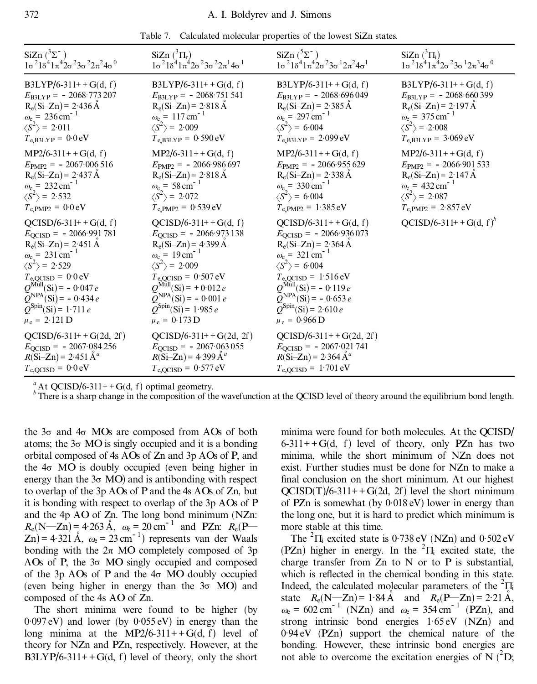|  |  |  |  |  | Table 7. Calculated molecular properties of the lowest SiZn states. |
|--|--|--|--|--|---------------------------------------------------------------------|
|--|--|--|--|--|---------------------------------------------------------------------|

| SiZn $(^{3}\Sigma^{-})$                                                       | SiZn $({}^3\Pi_r)$                                                            | SiZn $(^5\Sigma^-)$                                               | SiZn $({}^3\Pi_i)$                                                |
|-------------------------------------------------------------------------------|-------------------------------------------------------------------------------|-------------------------------------------------------------------|-------------------------------------------------------------------|
| $1\sigma^2$ $1\delta^4$ $1\pi^4$ $2\sigma^2$ $3\sigma^2$ $2\pi^2$ $4\sigma^0$ | $1\sigma^2$ $1\delta^4$ $1\pi^4$ $2\sigma^2$ $3\sigma^2$ $2\pi^1$ $4\sigma^1$ | $1\sigma^2 1\delta^4 1\pi^4 2\sigma^2 3\sigma^1 2\pi^2 4\sigma^1$ | $1\sigma^2 1\delta^4 1\pi^4 2\sigma^2 3\sigma^1 2\pi^3 4\sigma^0$ |
| $B3LYP/6-311++G(d, f)$                                                        | $B3LYP/6-311++G(d, f)$                                                        | $B3LYP/6-311++G(d, f)$                                            | $B3LYP/6-311++G(d, f)$                                            |
| $E_{\text{B3LYP}} = -2068.773207$                                             | $E_{\text{B3LYP}} = -2068.751541$                                             | $E_{\text{B3LYP}} = -2068.696049$                                 | $E_{\text{B3LYP}} = -2068.660399$                                 |
| $R_e(Si-Zn) = 2.436 \text{ Å}$                                                | $R_e(Si-Zn) = 2.818 \text{ Å}$                                                | $R_e(Si-Zn) = 2.385 \text{ Å}$                                    | $R_e(Si-Zn) = 2.197 \text{ Å}$                                    |
| $\omega_e = 236 \text{ cm}^{-1}$                                              | $\omega_e = 117 \text{ cm}^{-1}$                                              | $\omega_e$ = 297 cm <sup>-1</sup>                                 | $\omega_e$ = 375 cm <sup>-1</sup>                                 |
| $\langle S^2 \rangle$ = 2.011                                                 | $\langle S^2 \rangle$ = 2.009                                                 | $\langle S^2 \rangle$ = 6.004                                     | $\langle S^2 \rangle$ = 2.008                                     |
| $T_{e,B3LYP} = 0.0 eV$                                                        | $T_{e,B3LYP} = 0.590 eV$                                                      | $T_{e,B3LYP} = 2.099 \text{ eV}$                                  | $T_{e,B3LYP} = 3.069 \text{ eV}$                                  |
| $MP2/6-311++G(d, f)$                                                          | $MP2/6-311++G(d, f)$                                                          | $MP2/6-311++G(d, f)$                                              | $MP2/6-311++G(d, f)$                                              |
| $E_{\text{PMP2}} = -2067.006516$                                              | $E_{\text{PMP2}} = -2066.986697$                                              | $E_{\text{PMP2}} = -2066.955629$                                  | $E_{\text{PMP2}} = -2066.901533$                                  |
| $R_e(Si-Zn) = 2.437 \text{ Å}$                                                | $R_e(Si-Zn) = 2.818 \text{ Å}$                                                | $R_e(Si-Zn) = 2.338 \text{ Å}$                                    | $R_e(Si-Zn) = 2.147 \text{ Å}$                                    |
| $\omega_e = 232 \text{ cm}^{-1}$                                              | $\omega_e = 58 \text{ cm}^{-1}$                                               | $\omega_e = 330 \text{ cm}^{-1}$                                  | $\omega_e = 432 \text{ cm}^{-1}$                                  |
| $\langle S^2 \rangle$ = 2.532                                                 | $\langle S^2 \rangle$ = 2.072                                                 | $\langle S^2 \rangle$ = 6.004                                     | $\langle S^2 \rangle$ = 2.087                                     |
| $T_{\rm e, PMP2} = 0.0 \,\rm eV$                                              | $T_{\rm e, PMP2} = 0.539 \,\rm eV$                                            | $T_{e, PMP2} = 1.385 eV$                                          | $T_{e, PMP2} = 2.857 eV$                                          |
| $QCISD/6-311++G(d, f)$                                                        | $QCISD/6-311++G(d, f)$                                                        | $QCISD/6-311++G(d, f)$                                            | $QCISD/6-311++G(d, f)^b$                                          |
| $E_{\text{QCISD}} = -2066.991781$                                             | $E_{\text{QCISD}} = -2066.973138$                                             | $E_{\text{QCISD}} = -2066.936073$                                 |                                                                   |
| $R_e(Si-Zn) = 2.451 \text{ Å}$                                                | $R_e(Si-Zn) = 4.399 \text{ Å}$                                                | $R_e(Si-Zn) = 2.364 \text{ Å}$                                    |                                                                   |
| $\omega_e$ = 231 cm <sup>-1</sup>                                             | $\omega_e = 19 \text{ cm}^{-1}$                                               | $\omega_e$ = 321 cm <sup>-1</sup>                                 |                                                                   |
| $\langle S^2 \rangle$ = 2.529                                                 | $\langle S^2 \rangle$ = 2.009                                                 | $\langle S^2 \rangle$ = 6.004                                     |                                                                   |
| $T_{\text{e,QCISD}} = 0.0 \text{ eV}$                                         | $T_{\text{e,QCISD}} = 0.507 \text{ eV}$                                       | $T_{\text{e,QCISD}} = 1.516 \text{ eV}$                           |                                                                   |
| $Q^{\text{Mull}}(\text{Si})$ = - 0.047 e                                      | $Q^{\text{Mull}}(\text{Si}) = +0.012 e$                                       | $Q^{\text{Mul}}(\text{Si}) = -0.119 e$                            |                                                                   |
| $\tilde{Q}^{NPA}(Si) = -0.434 e$                                              | $\widetilde{Q}^{NPA}(\text{Si}) = -0.001 e$                                   | $\tilde{Q}^{NPA}(\text{Si}) = -0.653 e$                           |                                                                   |
| $Q^{\text{Spin}}(\text{Si}) = 1.711 e$                                        | $Q^{\text{Spin}}(\text{Si}) = 1.985 e$                                        | $Q^{\text{Spin}}(\text{Si}) = 2.610 e$                            |                                                                   |
| $\mu_e = 2.121$ D                                                             | $\mu_e = 0.173$ D                                                             | $\mu_e = 0.966 \,\text{D}$                                        |                                                                   |
| $QCISD/6-311++G(2d, 2f)$                                                      | $QCISD/6-311++G(2d, 2f)$                                                      | $QCISD/6-311++G(2d, 2f)$                                          |                                                                   |
| $E_{\text{QCISD}} = -2067.084256$                                             | $E_{\text{OCISD}} = -2067.063055$                                             | $E_{\text{QCISD}} = -2067.021741$                                 |                                                                   |
| $R(Si-Zn) = 2.451 \text{ Å}^a$                                                | $R(Si-Zn) = 4.399 \text{ Å}^a$                                                | $R(Si-Zn) = 2.364 \text{ Å}^a$                                    |                                                                   |
| $T_{\text{e,QCISD}} = 0.0 \text{ eV}$                                         | $T_{\rm e,QCISD} = 0.577 \,\rm eV$                                            | $T_{\rm e,QCISD} = 1.701 \text{ eV}$                              |                                                                   |

<sup>a</sup> At QCISD/6-311++G(d, f) optimal geometry.<br><sup>*b*</sup> There is a sharp change in the composition of the wavefunction at the QCISD level of theory around the equilibrium bond length.

the  $3\sigma$  and  $4\sigma$  MOs are composed from AOs of both atoms; the  $3\sigma$  MO is singly occupied and it is a bonding orbital composed of 4s AOs of Zn and 3p AOs of P, and the  $4\sigma$  MO is doubly occupied (even being higher in energy than the  $3\sigma$  MO) and is antibonding with respect to overlap of the 3p AOs of P and the 4s AOs of Zn, but it is bonding with respect to overlap of the 3p AOs of P and the 4p AO of Zn. The long bond minimum (NZn:  $R_e(N-Zn) = 4.263 \text{ Å}, \ \omega_e = 20 \text{ cm}^{-1} \text{ and } PZn: R_e(P \text{)}$  $Zn$ ) = 4.321 Å,  $\omega_e$  = 23 cm<sup>-1</sup>) represents van der Waals bonding with the  $2\pi$  MO completely composed of 3p AOs of P, the  $3\sigma$  MO singly occupied and composed of the 3p AOs of P and the  $4\sigma$  MO doubly occupied (even being higher in energy than the  $3\sigma$  MO) and composed of the 4s AO of Zn.

The short minima were found to be higher (by 0 .097 eV) and lower (by 0 .055 eV) in energy than the long minima at the MP2/6-311++G(d, f) level of theory for NZn and PZn, respectively. However, at the B3LYP/6-311++G(d, f) level of theory, only the short

minima were found for both molecules. At the QCISD/  $6-311++G(d, f)$  level of theory, only PZn has two minima, while the short minimum of NZn does not exist. Further studies must be done for NZn to make a final conclusion on the short minimum. At our highest  $QCISD(T)/6-311++G(2d, 2f)$  level the short minimum of PZn is somewhat (by  $0.018 \text{ eV}$ ) lower in energy than the long one, but it is hard to predict which minimum is more stable at this time.

The  ${}^{2}$  $\Pi_i$  excited state is 0.738 eV (NZn) and 0.502 eV (PZn) higher in energy. In the  ${}^{2}$  $\Pi$  excited state, the charge transfer from  $Zn$  to N or to P is substantial. which is reflected in the chemical bonding in this state. Indeed, the calculated molecular parameters of the  ${}^{2}$  $\Pi$ <sub>i</sub> state  $R_e(N-Zn) = 1.84 \text{ Å}$  and  $R_e(P-Zn) = 2.21 \text{ Å}$ ,  $\omega_e = 602 \text{ cm}^{-1}$  (NZn) and  $\omega_e = 354 \text{ cm}^{-1}$  (PZn), and strong intrinsic bond energies 1.65 eV (NZn) and 0 .94 eV (PZn) support the chemical nature of the bonding. However, these intrinsic bond energies are not able to overcome the excitation energies of N  $(^2D)$ ;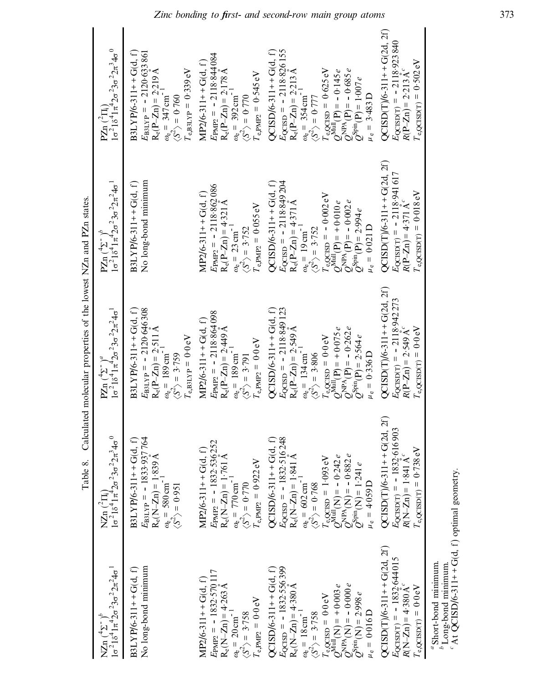|                                                                                                                                                                                                                                                                                                                                                                              |                                                                                                                                                                                                                                                                                                                                                                                                                      | Table 8. Calculated molecular properties of the lowest NZn and PZn states.                                                                                                                                                                                                                                                         |                                                                                                                                                                                                                                                                                                                                                                                                        |                                                                                                                                                                                                                                                                                                                                                  |
|------------------------------------------------------------------------------------------------------------------------------------------------------------------------------------------------------------------------------------------------------------------------------------------------------------------------------------------------------------------------------|----------------------------------------------------------------------------------------------------------------------------------------------------------------------------------------------------------------------------------------------------------------------------------------------------------------------------------------------------------------------------------------------------------------------|------------------------------------------------------------------------------------------------------------------------------------------------------------------------------------------------------------------------------------------------------------------------------------------------------------------------------------|--------------------------------------------------------------------------------------------------------------------------------------------------------------------------------------------------------------------------------------------------------------------------------------------------------------------------------------------------------------------------------------------------------|--------------------------------------------------------------------------------------------------------------------------------------------------------------------------------------------------------------------------------------------------------------------------------------------------------------------------------------------------|
| NZn $\left(\frac{4\sum_{1}^{6}y^{6}}{1\pi^{2}2\sigma^{2}3\sigma^{2}2\pi^{2}4\sigma^{1}}\right)$                                                                                                                                                                                                                                                                              | $\frac{16^{2}18^{4}1\pi^{4}\cdot 26^{2}36^{2}2\pi^{3}46^{0}}{16^{2}18^{4}1\pi^{4}\cdot 26^{2}36^{2}2\pi^{3}46^{0}}$<br>NZn $(^2\Pi_i)$                                                                                                                                                                                                                                                                               | PZn $\left(\frac{4\Sigma}{10^{-2}16} \right)^a$<br>10 <sup>2</sup> 18 <sup>4</sup> 1 $\pi^4$ 20 <sup>2</sup> 30 <sup>2</sup> 2 $\pi^2$ 40 <sup>1</sup>                                                                                                                                                                             | $1\sigma^2 1\delta^4 1\pi^4 2\sigma^2 3\sigma^2 2\pi^2 4\sigma^1$<br>PZn $(\overline{2})^{\circ}$                                                                                                                                                                                                                                                                                                      | $1\sigma^2 1\delta^4 1\pi^4 2\sigma^2 3\sigma^2 2\pi^3 4\sigma^0$<br>$PZn$ ( ${}^2\Pi$ )                                                                                                                                                                                                                                                         |
| No long-bond minimum<br>$BJLYP/6-311++G(d, f)$                                                                                                                                                                                                                                                                                                                               | $\begin{array}{l} E_{\rm B31VP} = -\ 1833\cdot 937\,764\\ R_{\rm e}({\rm N\!-\!Zn}) = 1\cdot 839\,{\rm \AA}\\ \omega_{\rm e} = \ 580\,{\rm cm}^{-1}\\ \langle S^2 \rangle = \ 0\,9951 \end{array}$<br>$BLLYP/6-311+G(d, f)$                                                                                                                                                                                          | $BJLYP/6-311++G(d, f)$<br>$E_{\text{B3LYP}} = -2120\,646\,308$<br>$R_e(P-Zn) = 2.511\,\text{\AA}$<br>$\omega_e = 189\,\text{cm}^{-1}$<br>$\langle S \rangle = 3.759$<br>$I_{\rm e,B3LYP}=0.0\,\rm eV$                                                                                                                              | No long-bond minimum<br>$B3LYP/6-311+G(d, f)$                                                                                                                                                                                                                                                                                                                                                          | $B3LYP/6-311++G(d, f)$<br>$E_{\text{B3LPP}} = -2120.633861$<br>$R_e(P-Zn) = 2219 \text{ Å}$<br>$\omega_e = 347 \text{ cm}^{-1}$<br>$\langle S^2 \rangle = 0.760$<br>$\langle S^2 \rangle = 0.760$<br>$I_{\rm e,B3LYP}=0.339\,\rm eV$                                                                                                             |
| $E_{\text{PMP2}} = -1832.570117$<br>R <sub>e</sub> (N-Zn) = 4.263 Å<br>$MP2/6-311+G(d, f)$<br>$T_{\rm e, PMP2}$ = 0.0 $\rm eV$<br>$\langle S^2 \rangle = 3.758$<br>$\omega_{\rm e} = 20 \, \rm cm^{-1}$                                                                                                                                                                      | MP2/6-311++G(d, f)<br><i>E</i> p <sub>NP2</sub> = -1832:536252<br>R <sub>e</sub> (N-Zn) = 1 <sup>-7</sup> 61 Å<br>$\alpha_8$ = 770 cm <sup>-1</sup><br>$\langle S^2 \rangle$ = 0-770<br>$Ie,PMP2 = 0.922 eV$                                                                                                                                                                                                         | $E_{\text{PMP2}} = -2118.864\,098$<br>$R_e(P-Zn) = 2.449 \text{ Å}$<br>$\omega_e = 189 \text{ cm}^{-1}$<br>$MP2/6-311+G(d, f)$<br>$T_{\rm e, PMP2} = 0.0 \, \rm eV$<br>$\langle S^2 \rangle$ = 3.791                                                                                                                               | $E_{\text{PMP2}} = -2118.862\,086$<br>$R_e(P-Zn) = 4.321 \text{ Å}$<br>$\omega_e = 23 \text{ cm}^{-1}$<br>$MP2/6-311+G(d, f)$<br>$T_{\rm e, RMP2} = 0.055 \, \rm eV$<br>$\langle S^2 \rangle = 3.752$                                                                                                                                                                                                  | $E_{\text{PMP2}} = -2118.844\,084$<br>$R_e(P-Zn) = 2.178 \,\text{\AA}$<br>$\alpha_b = 392 \,\text{cm}^{-1}$<br>$\langle S^2 \rangle = 0.770$<br>$MP2/6-311+G(d, f)$<br>$T_{\rm e, PMP2} = 0.545 \, \rm eV$                                                                                                                                       |
| $E_{\text{QCISD}} = -1832.556399$<br>$QCISD/6-311++G(d, f)$<br>$R_e(N-Zn) = 4.380 \text{ Å}$<br>$\begin{array}{l} T_{\rm c,QCISD} = 0.0 \, {\rm eV} \\ Q^{\rm Null}({\rm N}) = +0.003 \, e \\ Q^{\rm NPA}({\rm N}) = -0.000 \, e \\ Q^{\rm Spin}({\rm N}) = 2.998 \, e \end{array}$<br>$\omega_e = 18 \text{ cm}^{-1}$<br>$\langle S^2 \rangle = 3.758$<br>$\mu_e = 0.016$ D | QCISD/6-311++ G(d, f)<br>$E_{QCRD} = -1832.516248$<br>$R_e(N-Zn) = 1.841 \text{ Å}$<br>$(8^2) = 602 \text{ cm}^{-1}$<br>$(5^2) = 0.768$<br>$(5^2) = 0.768$<br>$\begin{array}{l} T_{\rm e,QCISD} = 1\cdot 093 \, {\rm eV} \\ Q^{\rm Null}({\rm N}) = -\; 0\cdot 242 \, e \\ Q^{\rm NIR}({\rm N}) = -\; 0\cdot 882 \, e \\ Q^{\rm Nlin}({\rm N}) = 1\cdot 241 \, e \\ \mu_{\rm e} = 4\cdot 059 \, {\rm D} \end{array}$ | $QCISD/6-311+G(d, f)$<br>$E_{\text{QCISD}} = -2118.849$ 123<br>$R_e(P-Zn) = 2.549 \text{ Å}$<br>$\omega_e = 134 \text{ cm}^{-1}$<br>$\langle S^2 \rangle = 3.806$<br>$Q^{\text{Null}}(P) = +0.075 e$<br>$Q^{\text{NPR}}(P) = -0.262 e$<br>$Q^{\text{Spin}}(P) = 2.564 e$<br>$r_{\rm e,QCISD} = 0.0 \, \rm eV$<br>$\mu_e = 0.336$ D | $E_{\text{CCISD}} = -2118849204$<br>$R_e(P-Zn) = 4371 \text{ Å}$<br>$\omega_e = 19 \text{ cm}^{-1}$<br>$\langle S^2 \rangle = 3.752$<br>$QCISD/6-311++G(d, f)$<br>$\label{eq:2.1} \begin{array}{l} T_{\rm e,CCSD} = -\,0.002\,\text{eV} \\ Q^{\rm Null}(\text{P}) = +0.010\,e \\ Q^{\rm NIR}(\text{P}) = -\,0.002\,e \\ Q^{\rm Spin}(\text{P}) = 2.9934\,e \end{array}$<br>$\mu_{\rm e}=0{\cdot}021$ D | $QCISD/6-311+G(d, f)$<br>$E_{\text{QCISD}} = -2118.826 \text{ i}55$<br>$R_e(P-Zn) = 2.213 \text{ Å}$<br>$\omega_s = 354 \text{ cm}^{-1}$<br>$\langle S^2 \rangle = 0.777$<br>$T_{\text{e,QCISD}} = 0.625 \text{ eV}$<br>$Q^{\text{Null}}(P) = -0.145 e$<br>$Q^{\text{NPA}}(P) = -0.685 e$<br>$Q^{\text{Spin}}(P) = 1.007 e$<br>$\mu_e = 3.483$ D |
| $QCISD(T)/6-311+G(2d, 2f)$<br>$E_{\text{QCISD}(T)} = -1832.644015$<br>$R(N-Zn) = 4.380 \text{ Å}^c$<br>$I_{\rm e, QCISD(T)}=0.0\,{\rm eV}$                                                                                                                                                                                                                                   | $QCISD(T)/6-311+ + G(2d, 2f)$<br>$E_{QCISD(T)} = -1832.616903$<br>$R(N-Zn) = 1.841 \text{ Å}$<br>$T_{\rm e,QCISD(T)} = 0.738 \, \rm eV$                                                                                                                                                                                                                                                                              | $QCISD(T)/6-311++G(2d, 2f)$<br>$E_{\text{QCSD(T)}} = -2118.942273$<br>$R(P-Zn) = 2.549 \text{ Å}^c$<br>$T_{\rm e,QCISD(T)}=0{\cdot}0\,{\rm eV}$                                                                                                                                                                                    | $QCISD(T)/6-311+G(2d, 2f)$<br>$E_{\text{QCISD}(T)} = -2118.941617$<br>$R(P-Zn) = 4.371 \text{ Å}^c$<br>$T_{\rm e,QCISD(T)}=0.018\,\rm eV$                                                                                                                                                                                                                                                              | $QCISD(T)/6-311+G(2d, 2f)$<br>$E_{\text{QCISD}(T)} = -2118.923840$<br>R(P-Zn) = 2.213Å<br>$T_{\rm e,QCISD(T)}=0.502\,\rm eV$                                                                                                                                                                                                                     |
| "Short-bond minimum.<br>"Long-bond minimum.<br>"At QCISD/6-311++G(d, f) optimal geometry.                                                                                                                                                                                                                                                                                    |                                                                                                                                                                                                                                                                                                                                                                                                                      |                                                                                                                                                                                                                                                                                                                                    |                                                                                                                                                                                                                                                                                                                                                                                                        |                                                                                                                                                                                                                                                                                                                                                  |

minimum.<br>minimum.<br>5-311++C  $\phi$  Long-bond minimum.<br>  $\alpha$  At QCISD/6-311++C  $\mathcal{L}$  At Q CISD/6-311++G(d, f) optimal geometry.<br>.

*Zinc bonding to ®rst- and second-row main group atoms* 373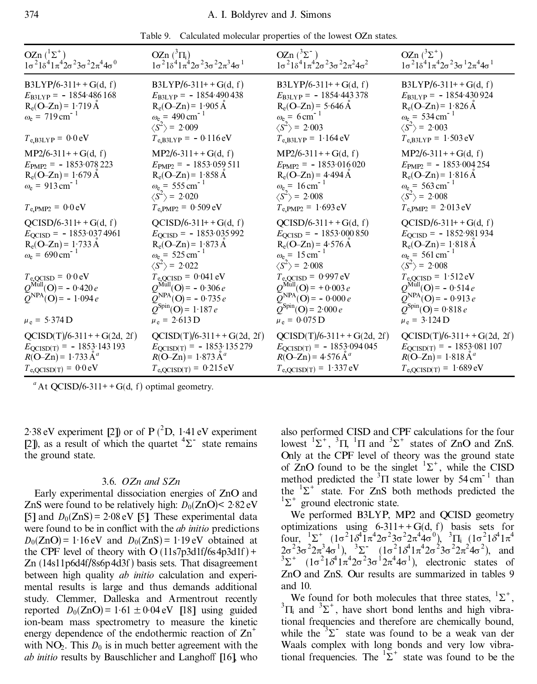|  |  |  |  | Table 9. Calculated molecular properties of the lowest OZn states. |
|--|--|--|--|--------------------------------------------------------------------|
|--|--|--|--|--------------------------------------------------------------------|

| OZn $({}^{1}\Sigma^{+})$<br>$1\sigma^2 1\delta^4 1\pi^4 2\sigma^2 3\sigma^2 2\pi^4 4\sigma^0$                                                                              | OZn $({}^3\Pi_i)$<br>$1\sigma^2$ $1\delta^4$ $1\pi^4$ $2\sigma^2$ $3\sigma^2$ $2\pi^3$ $4\sigma^1$                                                                                                           | $OZn ({}^{3}\Sigma^{-})$<br>$1\sigma^2$ $1\delta^4$ $1\pi^4$ $2\sigma^2$ $3\sigma^2$ $2\pi^2$ $4\sigma^2$                                                                                                   | OZn $(^3\Sigma^+)$<br>$1\sigma^2 1\delta^4 1\pi^4 2\sigma^2 3\sigma^1 2\pi^4 4\sigma^1$                                                                                                                       |
|----------------------------------------------------------------------------------------------------------------------------------------------------------------------------|--------------------------------------------------------------------------------------------------------------------------------------------------------------------------------------------------------------|-------------------------------------------------------------------------------------------------------------------------------------------------------------------------------------------------------------|---------------------------------------------------------------------------------------------------------------------------------------------------------------------------------------------------------------|
| $B3LYP/6-311++G(d, f)$<br>$E_{\text{B3LYP}} = -1854.486168$<br>$R_e(O-Zn) = 1.719 \text{ Å}$<br>$\omega_e = 719 \text{ cm}^{-1}$<br>$T_{e,B3LYP} = 0.0 eV$                 | $B3LYP/6-311++G(d, f)$<br>$E_{B3LYP} = -1854.490438$<br>$R_e(O-Zn) = 1.905 \text{ Å}$<br>$\omega_e = 490 \text{ cm}^{-1}$<br>$\langle S^2 \rangle$ = 2.009<br>$T_{e,B3LYP} = -0.116 \text{ eV}$              | $B3LYP/6-311++G(d, f)$<br>$E_{\text{B3LYP}} = -1854.443378$<br>$R_e(O-Zn) = 5.646 \text{ Å}$<br>$\omega_e = 6 \text{ cm}^{-1}$<br>$\langle S^2 \rangle$ = 2.003<br>$T_{e,B3LYP} = 1.164 \text{ eV}$         | $B3LYP/6-311++G(d, f)$<br>$E_{\text{B3LYP}} = -1854.430924$<br>$R_e(O-Zn) = 1.826 \text{ Å}$<br>$\omega_e = 534 \text{ cm}^{-1}$<br>$\langle S^2 \rangle$ = 2.003<br>$T_{e,B3LYP} = 1.503 \text{ eV}$         |
| $MP2/6-311++G(d, f)$<br>$E_{\text{PMP2}} = -1853.078223$<br>$R_e(O-Zn) = 1.679 \text{ Å}$<br>$\omega_e = 913 \text{ cm}^{-1}$<br>$T_{\rm e, PMP2} = 0.0 \,\rm eV$          | $MP2/6-311++G(d, f)$<br>$E_{\text{PMP2}} = -1853.059511$<br>$R_e(O-Zn) = 1.858 \text{ Å}$<br>$\omega_e = 555 \text{ cm}^{-1}$<br>$\langle S^2 \rangle$ = 2.020<br>$T_{\rm e, PMP2} = 0.509 \,\rm eV$         | $MP2/6-311++G(d, f)$<br>$E_{\text{PMP2}} = -1853.016020$<br>$R_e(O-Zn) = 4.494 \text{ Å}$<br>$\omega_e = 16 \text{ cm}^{-1}$<br>$\langle S^2 \rangle$ = 2.008<br>$T_{e,PMP2} = 1.693 \text{ eV}$            | $MP2/6-311++G(d, f)$<br>$E_{\text{PMP2}} = -1853.004254$<br>$R_e(O-Zn) = 1.816 \text{ Å}$<br>$\omega_e = 563 \text{ cm}^{-1}$<br>$\langle S^2 \rangle$ = 2.008<br>$T_{e, PMP2} = 2.013 eV$                    |
| $QCISD/6-311++G(d, f)$<br>$E_{\text{QCISD}} = -1853.0374961$<br>$R_e(O-Zn) = 1.733 \text{ Å}$<br>$\omega_e = 690 \text{ cm}^{-1}$<br>$T_{\text{e,QCISD}} = 0.0 \text{ eV}$ | $QCISD/6-311++G(d, f)$<br>$E_{\text{QCISD}} = -1853.035992$<br>$R_e(O-Zn) = 1.873 \text{ Å}$<br>$\omega_e = 525 \text{ cm}^{-1}$<br>$\langle S^2 \rangle$ = 2.022<br>$T_{\text{e,QCISD}} = 0.041 \text{ eV}$ | $QCISD/6-311++G(d, f)$<br>$E_{\text{QCISD}} = -1853.000850$<br>$R_e(O-Zn) = 4.576 \text{ Å}$<br>$\omega_e = 15 \text{ cm}^{-1}$<br>$\langle S^2 \rangle$ = 2.008<br>$T_{\text{e,QCISD}} = 0.997 \text{ eV}$ | $QCISD/6-311++G(d, f)$<br>$E_{\text{QCISD}} = -1852.981934$<br>$R_e(O-Zn) = 1.818 \text{ Å}$<br>$\omega_e$ = 561 cm <sup>-1</sup><br>$\langle S^2 \rangle$ = 2.008<br>$T_{\text{e,QCISD}} = 1.512 \text{ eV}$ |
| $Q^{\text{Mul}}(O) = -0.420 e$<br>$Q^{\text{NPA}}(\text{O}) = -1.094 e$<br>$\mu_e = 5.374$ D                                                                               | $Q^{\text{Mull}}(O) = -0.306 e$<br>$\widetilde{Q}^{NPA}(\mathbf{O}) = -0.735 e$<br>$Q^{\text{Spin}}(\text{O}) = 1.187 e$<br>$\mu_e = 2.613 \text{ D}$                                                        | $Q^{\text{Mull}}(O) = +0.003 e$<br>$\widetilde{Q}^{NPA}(\text{O}) = -0.000 e$<br>$Q^{\text{Spin}}(\text{O}) = 2.000 e$<br>$\mu_e = 0.075 \,\text{D}$                                                        | $Q^{\text{Mull}}(O) = -0.514 e$<br>$\widetilde{Q}^{NPA}(O) = -0.913 e$<br>$Q^{\text{Spin}}(\text{O}) = 0.818 e$<br>$\mu_e = 3.124$ D                                                                          |
| $QCISD(T)/6-311++G(2d, 2f)$<br>$E_{\text{QCISD(T)}} = -1853.143193$<br>$R(O-Zn) = 1.733 \text{ Å}^a$<br>$T_{\text{e,QCISD(T)}} = 0.0 \text{ eV}$                           | $QCISD(T)/6-311++G(2d, 2f)$<br>$E_{\text{QCISD(T)}} = -1853.135279$<br>$R(O-Zn) = 1.873 \text{ Å}^a$<br>$T_{e,QCISD(T)} = 0.215 \text{ eV}$                                                                  | $QCISD(T)/6-311++G(2d, 2f)$<br>$E_{\text{QCISD(T)}} = -1853.094045$<br>$R(O-Zn) = 4.576 \text{ Å}^a$<br>$T_{e,QCISD(T)} = 1.337 eV$                                                                         | $QCISD(T)/6-311++G(2d, 2f)$<br>$E_{\text{QCISD(T)}} = -1853.081107$<br>$R(O-Zn) = 1.818 \text{ Å}^a$<br>$T_{e,QCISD(T)} = 1.689 \text{ eV}$                                                                   |

2.38 eV experiment [2]) or of  $P(^{2}D, 1.41$  eV experiment [2]), as a result of which the quartet  $\frac{4}{2}$  state remains the ground state.

## 3.6. *OZn and SZn*

Early experimental dissociation energies of ZnO and ZnS were found to be relatively high:  $D_0(ZnO) < 2.82 \text{ eV}$ [5] and  $D_0(ZnS) = 2.08 \text{ eV}$  [5]. These experimental data were found to be in conflict with the *ab initio* predictions  $D_0(ZnO) = 1.16 \text{ eV}$  and  $D_0(ZnS) = 1.19 \text{ eV}$  obtained at the CPF level of theory with  $O(11s7p3d1f/6s4p3d1f)$  + Zn (14s11p6d4f/8s6p4d3f) basis sets. That disagreement between high quality *ab initio* calculation and experimental results is large and thus demands additional study. Clemmer, Dalleska and Armentrout recently reported  $D_0(ZnO) = 1.61 \pm 0.04 \text{ eV}$  [18] using guided ion-beam mass spectrometry to measure the kinetic energy dependence of the endothermic reaction of  $\text{Zn}^+$ with  $NO<sub>2</sub>$ . This  $D<sub>0</sub>$  is in much better agreement with the *ab initio* results by Bauschlicher and Langhoff [16], who

also performed CISD and CPF calculations for the four lowest  ${}^{1}\Sigma^{+}$ ,  ${}^{3}\Pi$ ,  ${}^{1}\Pi$  and  ${}^{3}\Sigma^{+}$  states of ZnO and ZnS. Only at the CPF level of theory was the ground state of  $\text{ZnO}$  found to be the singlet  ${}^{1}\Sigma^{+}$ , while the CISD method predicted the  ${}^{3}$  $\Pi$  state lower by 54 cm<sup>-1</sup> than the  ${}^{1}\Sigma^{+}$  state. For ZnS both methods predicted the  $1\Sigma^+$  ground electronic state.

We performed B3LYP, MP2 and QCISD geometry optimizations using  $6-311++G(d, f)$  basis sets for four,  ${}^{1}\Sigma^{+}$   $(1\sigma^{2}1\delta^{4}1\pi^{4}2\sigma^{2}3\sigma^{2}2\pi^{4}4\sigma^{0})$ ,  ${}^{3}\Pi_{i}$   $(1\sigma^{2}1\delta^{4}1\pi^{4}$  $2\sigma^2$  $3\sigma^2$  $2\pi^3$  $4\sigma^1$ ),  $3\sigma^2$   $(1\sigma^2)$  $\sigma^4$  $1\pi^4$  $2\sigma^2$  $3\sigma^2$  $2\pi^2$  $4\sigma^2$ ), and <sup>3</sup> $\Sigma^+$  (1 $\sigma^2$ 1 $\sigma^4$ 1 $\pi^4$ 2 $\sigma^2$ 3 $\sigma^1$ 2 $\pi^4$ 4 $\sigma^1$ ), electronic states of ZnO and ZnS. Our results are summarized in tables 9 and 10.

We found for both molecules that three states,  ${}^{1}\Sigma^{+}$ , We found for both molecules that three states,  ${}^{1}\Sigma^{+}$ ,  ${}^{3}\Pi_{i}$  and  ${}^{3}\Sigma^{+}$ , have short bond lenths and high vibrational frequencies and therefore are chemically bound, while the  $3\Sigma$  state was found to be a weak van der Waals complex with long bonds and very low vibrational frequencies. The  ${}^{1}\Sigma^{+}$  state was found to be the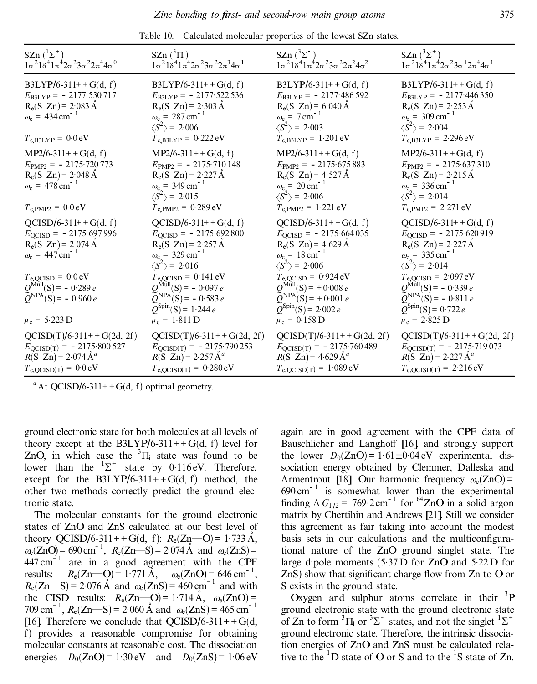| SZn $({}^{1}\Sigma^{+})$<br>$1\sigma^2$ $1\delta^4$ $1\pi^4$ $2\sigma^2$ $3\sigma^2$ $2\pi^4$ $4\sigma^0$                                                                                                                                                          | SZn $({}^3\Pi_i)$<br>$1\sigma^2$ $1\delta^4$ $1\pi^4$ $2\sigma^2$ $3\sigma^2$ $2\pi^3$ $4\sigma^1$                                                                                                                                                                                                                                                    | SZn $(^3\Sigma^{-1})$<br>$1\sigma^2 1\delta^4 1\pi^4 2\sigma^2 3\sigma^2 2\pi^2 4\sigma^2$                                                                                                                                                                                                                                                  | SZn $(^{3}\Sigma^{+})$<br>$1\sigma^2$ $1\delta^4$ $1\pi^4$ $2\sigma^2$ $3\sigma^1$ $2\pi^4$ $4\sigma^1$                                                                                                                                                                                                                                        |
|--------------------------------------------------------------------------------------------------------------------------------------------------------------------------------------------------------------------------------------------------------------------|-------------------------------------------------------------------------------------------------------------------------------------------------------------------------------------------------------------------------------------------------------------------------------------------------------------------------------------------------------|---------------------------------------------------------------------------------------------------------------------------------------------------------------------------------------------------------------------------------------------------------------------------------------------------------------------------------------------|------------------------------------------------------------------------------------------------------------------------------------------------------------------------------------------------------------------------------------------------------------------------------------------------------------------------------------------------|
| $B3LYP/6-311++G(d, f)$<br>$E_{\text{B3LYP}} = -2177.530717$<br>$R_e(S-Zn) = 2.083 \text{ Å}$<br>$\omega_e = 434 \text{ cm}^{-1}$<br>$T_{e,B3LYP} = 0.0 eV$                                                                                                         | $B3LYP/6-311++G(d, f)$<br>$E_{\text{B3LYP}} = -2177.522536$<br>$R_e(S-Zn) = 2.303 \text{ Å}$<br>$\omega_e = 287 \text{ cm}^{-1}$<br>$\langle S^2 \rangle$ = 2.006<br>$T_{e,B3LYP} = 0.222 \text{ eV}$                                                                                                                                                 | $B3LYP/6-311++G(d, f)$<br>$E_{\text{B3LYP}} = -2177.486592$<br>$R_e(S-Zn) = 6.040 \text{ Å}$<br>$\omega_e = 7 \text{ cm}^{-1}$<br>$\langle S^2 \rangle$ = 2.003<br>$T_{e,B3LYP} = 1.201 \text{ eV}$                                                                                                                                         | $B3LYP/6-311++G(d, f)$<br>$E_{\text{B3LYP}} = -2177.446350$<br>$R_e(S-Zn) = 2.253 \text{ Å}$<br>$\omega_e = 309 \text{ cm}^{-1}$<br>$\langle S^2 \rangle$ = 2.004<br>$T_{e,B3LYP} = 2.296 \text{ eV}$                                                                                                                                          |
| $MP2/6-311++G(d, f)$<br>$E_{\text{PMP2}} = -2175.720773$<br>$R_e(S-Zn) = 2.048 \text{ Å}$<br>$\omega_e = 478 \text{ cm}^{-1}$<br>$T_{\text{e,}PMP2} = 0.0 \text{ eV}$                                                                                              | $MP2/6-311++G(d, f)$<br>$E_{\text{PMP2}} = -2175.710148$<br>$R_e(S-Zn) = 2.227 \text{ Å}$<br>$\omega_e$ = 349 cm <sup>-1</sup><br>$\langle S^2 \rangle$ = 2.015<br>$T_{e, PMP2} = 0.289 eV$                                                                                                                                                           | $MP2/6-311++G(d, f)$<br>$E_{\text{PMP2}} = -2175.675883$<br>$R_e(S-Zn) = 4.527 \text{ Å}$<br>$\omega_e = 20 \text{ cm}^{-1}$<br>$\langle S^2 \rangle$ = 2.006<br>$T_{e, PMP2} = 1.221 eV$                                                                                                                                                   | $MP2/6-311++G(d, f)$<br>$E_{\text{PMP2}} = -2175.637310$<br>$R_e(S-Zn) = 2.215 \text{ Å}$<br>$\omega_e = 336 \text{ cm}^{-1}$<br>$\langle S^2 \rangle$ = 2.014<br>$T_{e, PMP2} = 2.271 eV$                                                                                                                                                     |
| $QCISD/6-311++G(d, f)$<br>$E_{\text{QCISD}} = -2175.697996$<br>$R_e(S-Zn) = 2.074 \text{ Å}$<br>$\omega_e = 447 \text{ cm}^{-1}$<br>$T_{\text{e,QCISD}} = 0.0 \text{ eV}$<br>$Q^{\text{Mul}}(S) = -0.289 e$<br>$Q^{\text{NPA}}(S) = -0.960 e$<br>$\mu_e = 5.223 D$ | $QCISD/6-311++G(d, f)$<br>$E_{\text{QCISD}} = -2175.692800$<br>$R_e(S-Zn) = 2.257 \text{ Å}$<br>$\omega_{\rm e}$ = 329 cm <sup>-1</sup><br>$\langle S^2 \rangle$ = 2.016<br>$T_{e,QCISD} = 0.141 \text{ eV}$<br>$Q^{\text{Mul}}(S) = -0.097 e$<br>$\widetilde{Q}^{NPA}(\mathbf{S}) = -0.583 e$<br>$Q^{\text{Spin}}(S) = 1.244 e$<br>$\mu_e = 1.811 D$ | $QCISD/6-311++G(d, f)$<br>$E_{\text{QCISD}} = -2175.664035$<br>$R_e(S-Zn) = 4.629 \text{ Å}$<br>$\omega_e = 18 \text{ cm}^{-1}$<br>$\langle S^2 \rangle$ = 2.006<br>$T_{\text{e,QCISD}} = 0.924 \text{ eV}$<br>$Q^{\text{Mul}}(S) = +0.008 e$<br>$\widetilde{Q}^{NPA}(S) = +0.001 e$<br>$Q^{\text{Spin}}(S) = 2.002 e$<br>$\mu_e = 0.158$ D | $QCISD/6-311++G(d, f)$<br>$E_{\text{QCISD}} = -2175.620919$<br>$R_e(S-Zn) = 2.227 \text{ Å}$<br>$\omega_{e}$ = 335 cm <sup>-1</sup><br>$\langle S^2 \rangle$ = 2.014<br>$T_{\text{e,QCISD}} = 2.097 \text{ eV}$<br>$Q^{\text{Mul}}(S) = -0.339 e$<br>$\overline{Q}^{NPA}(S) = -0.811 e$<br>$Q^{\text{Spin}}(S) = 0.722 e$<br>$\mu_e = 2.825 D$ |
| $QCISD(T)/6-311++G(2d, 2f)$<br>$E_{\text{QCISD(T)}} = -2175.800527$<br>$R(S-Zn) = 2.074 \text{ Å}^a$<br>$T_{\text{e,QCISD(T)}} = 0.0 \text{ eV}$                                                                                                                   | $QCISD(T)/6-311++G(2d, 2f)$<br>$E_{\text{QCISD(T)}} = -2175.790253$<br>$R(S-Zn) = 2.257 \text{ Å}^a$<br>$T_{e,QCISD(T)} = 0.280 \text{ eV}$                                                                                                                                                                                                           | $QCISD(T)/6-311++G(2d, 2f)$<br>$E_{QCISD(T)} = -2175.760489$<br>$R(S-Zn) = 4.629 \text{ Å}^a$<br>$T_{e,QCISD(T)} = 1.089 \text{ eV}$                                                                                                                                                                                                        | $QCISD(T)/6-311++G(2d, 2f)$<br>$E_{\text{QCISD(T)}} = -2175.719073$<br>$R(S-Zn) = 2.227 \text{ Å}^a$<br>$T_{e,QCISD(T)} = 2.216 \text{ eV}$                                                                                                                                                                                                    |

Table 10. Calculated molecular properties of the lowest SZn states.

ground electronic state for both molecules at all levels of theory except at the B3LYP/6-311++G(d, f) level for ZnO, in which case the  ${}^{3}$  $\Pi$ <sub>i</sub> state was found to be lower than the  ${}^{1}\Sigma^{+}$  state by 0.116 eV. Therefore, except for the  $B3LYP/6-311++G(d, f)$  method, the other two methods correctly predict the ground electronic state.

The molecular constants for the ground electronic states of ZnO and ZnS calculated at our best level of theory QCISD/6-311++G(d, f):  $R_e(Zn-O) = 1.733 \text{ Å}$ ,  $\alpha_e(ZnO) = 690 \text{ cm}^{-1}$ ,  $R_e(Zn-S) = 2.074 \text{ Å}$  and  $\alpha_e(ZnS) =$  $447 \text{ cm}^{-1}$  are in a good agreement with the CPF results:  $R_e(Zn-O) = 1.771 \text{ Å}, \quad \omega_e(ZnO) = 646 \text{ cm}^{-1},$  $R_e(Zn-S) = 2.076 \text{ Å}$  and  $\omega_e(ZnS) = 460 \text{ cm}^{-1}$  and with the CISD results:  $R_e(Zn-0) = 1.714 \text{ Å}, \omega_e(Zn0) =$  $709 \text{ cm}^{-1}$ ,  $R_e(Zn-S) = 2.060 \text{ Å}$  and  $\omega_e(ZnS) = 465 \text{ cm}^{-1}$ [16]. Therefore we conclude that  $OCISD/6-311++G(d,$ f) provides a reasonable compromise for obtaining molecular constants at reasonable cost. The dissociation energies  $D_0(ZnO) = 1.30 \text{ eV}$  and  $D_0(ZnS) = 1.06 \text{ eV}$ 

again are in good agreement with the CPF data of Bauschlicher and Langhoff [16], and strongly support the lower  $D_0(ZnO) = 1.61 \pm 0.04$  eV experimental dissociation energy obtained by Clemmer, Dalleska and Armentrout [18]. Our harmonic frequency  $\omega_e(ZnO)$  =  $690 \text{ cm}^{-1}$  is somewhat lower than the experimental finding  $\Delta G_{1/2} = 769.2 \text{ cm}^{-1}$  for <sup>64</sup>ZnO in a solid argon matrix by Chertihin and Andrews [21]. Still we consider this agreement as fair taking into account the modest basis sets in our calculations and the multiconfigurational nature of the ZnO ground singlet state. The large dipole moments  $(5.37 \text{ D}$  for ZnO and  $5.22 \text{ D}$  for  $ZnS$ ) show that significant charge flow from  $Zn$  to O or S exists in the ground state.

Oxygen and sulphur atoms correlate in their  ${}^{3}P$ ground electronic state with the ground electronic state of Zn to form  ${}^{3}$  $\Pi_i$  or  ${}^{3}\Sigma^-$  states, and not the singlet  ${}^{1}\Sigma^+$ ground electronic state. Therefore, the intrinsic dissociation energies of ZnO and ZnS must be calculated relative to the  $1D$  state of O or S and to the  $1S$  state of Zn.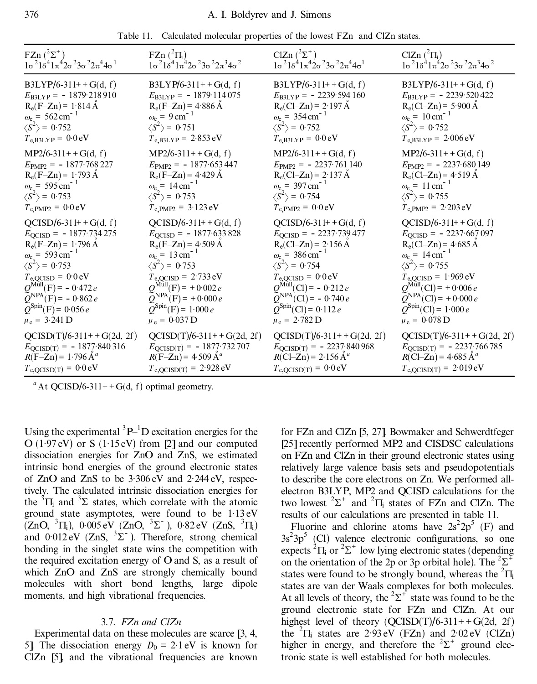|  | Table 11. Calculated molecular properties of the lowest FZn and ClZn states. |  |  |  |  |  |
|--|------------------------------------------------------------------------------|--|--|--|--|--|
|--|------------------------------------------------------------------------------|--|--|--|--|--|

| FZn $(^{2}\Sigma^{+})$                                            | FZn $(^{2}\Pi_{i})$                                               | ClZn $(^{2}\Sigma^{+})$                                           | ClZn $(^2\Pi_i)$                                                              |
|-------------------------------------------------------------------|-------------------------------------------------------------------|-------------------------------------------------------------------|-------------------------------------------------------------------------------|
| $1\sigma^2 1\delta^4 1\pi^4 2\sigma^2 3\sigma^2 2\pi^4 4\sigma^1$ | $1\sigma^2 1\delta^4 1\pi^4 2\sigma^2 3\sigma^2 2\pi^3 4\sigma^2$ | $1\sigma^2 1\delta^4 1\pi^4 2\sigma^2 3\sigma^2 2\pi^4 4\sigma^1$ | $1\sigma^2$ $1\delta^4$ $1\pi^4$ $2\sigma^2$ $3\sigma^2$ $2\pi^3$ $4\sigma^2$ |
| $B3LYP/6-311++G(d, f)$                                            | $B3LYP/6-311++G(d, f)$                                            | $B3LYP/6-311++G(d, f)$                                            | $B3LYP/6-311++G(d, f)$                                                        |
| $E_{\text{B3LYP}} = -1879.218910$                                 | $E_{\text{B3LYP}} = -1879.114075$                                 | $E_{\text{B3LYP}} = -2239.594160$                                 | $E_{\text{B3LYP}} = -2239.520422$                                             |
| $R_e(F-Zn) = 1.814 \text{ Å}$                                     | $R_e(F-Zn) = 4.886 \text{ Å}$                                     | $R_e(CI-Zn) = 2.197 \text{ Å}$                                    | $R_e(Cl-Zn) = 5.900 \text{ Å}$                                                |
| $\omega_e = 562 \text{ cm}^{-1}$                                  | $\omega_e = 9 \text{ cm}^{-1}$                                    | $\omega_e = 354 \text{ cm}^{-1}$                                  | $\omega_e = 10 \text{ cm}^{-1}$                                               |
| $\langle S^2 \rangle$ = 0.752                                     | $\langle S^2 \rangle$ = 0.751                                     | $\langle S^2 \rangle$ = 0.752                                     | $\langle S^2 \rangle$ = 0.752                                                 |
| $T_{e,B3LYP} = 0.0 eV$                                            | $T_{e,B3LYP} = 2.853 \text{ eV}$                                  | $T_{e,B3LYP} = 0.0 eV$                                            | $T_{e,B3LYP} = 2.006 \text{ eV}$                                              |
| $MP2/6-311++G(d, f)$                                              | $MP2/6-311++G(d, f)$                                              | $MP2/6-311++G(d, f)$                                              | $MP2/6-311++G(d, f)$                                                          |
| $E_{\text{PMP2}} = -1877.768227$                                  | $E_{\text{PMP2}} = -1877.653447$                                  | $E_{\text{PMP2}} = -2237.761140$                                  | $E_{\text{PMP2}} = -2237.680149$                                              |
| $R_e(F-Zn) = 1.793 \text{ Å}$                                     | $R_e(F-Zn) = 4.429 A$                                             | $R_e(Cl-Zn) = 2.137 \text{ Å}$                                    | $R_e(Cl-Zn) = 4.519 \text{ Å}$                                                |
| $\omega_e$ = 595 cm <sup>-1</sup>                                 | $\omega_e = 14 \text{ cm}^{-1}$                                   | $\omega_e = 397 \text{ cm}^{-1}$                                  | $\omega_{e}$ = 11 cm <sup>-1</sup>                                            |
| $\langle S^2 \rangle$ = 0.753                                     | $\langle S^2 \rangle$ = 0.753                                     | $\langle S^2 \rangle$ = 0.754                                     | $\langle S^2 \rangle$ = 0.755                                                 |
| $T_{\text{e,}PMP2} = 0.0 \text{ eV}$                              | $T_{e, PMP2} = 3.123 eV$                                          | $T_{\text{e,}PMP2} = 0.0 \text{ eV}$                              | $T_{e, PMP2} = 2.203 eV$                                                      |
| $QCISD/6-311++G(d, f)$                                            | $QCISD/6-311++G(d, f)$                                            | $QCISD/6-311++G(d, f)$                                            | $QCISD/6-311++G(d, f)$                                                        |
| $E_{\text{QCISD}} = -1877.734275$                                 | $E_{\text{QCISD}} = -1877.633828$                                 | $E_{\text{QCISD}} = -2237.739477$                                 | $E_{\text{QCISD}} = -2237.667097$                                             |
| $R_e(F-Zn) = 1.796 \text{ Å}$                                     | $R_e(F-Zn) = 4.509 \text{ Å}$                                     | $R_e(Cl-Zn) = 2.156 \text{ Å}$                                    | $R_e(Cl-Zn) = 4.685 \text{ Å}$                                                |
| $\omega_e = 593 \text{ cm}^{-1}$                                  | $\omega_e = 13 \text{ cm}^{-1}$                                   | $\omega_e = 386 \text{ cm}^{-1}$                                  | $\omega_e = 14 \text{ cm}^{-1}$                                               |
| $\langle S^2 \rangle$ = 0.753                                     | $\langle S^2 \rangle$ = 0.753                                     | $\langle S^2 \rangle$ = 0.754                                     | $\langle S^2 \rangle$ = 0.755                                                 |
| $T_{\text{e,QCISD}} = 0.0 \text{ eV}$                             | $T_{\rm e,QCISD} = 2.733 \,\rm eV$                                | $T_{\text{e,QCISD}} = 0.0 \text{eV}$                              | $T_{\text{e,QCISD}} = 1.969 \text{ eV}$                                       |
| $Q^{\text{Mul}}(F) = -0.472 e$                                    | $Q^{\text{Mul}}(F) = +0.002 e$                                    | $Q^{\text{MulI}}(Cl) = -0.212 e$                                  | $Q^{\text{Mul}}(Cl) = +0.006 e$                                               |
| $Q^{\text{NPA}}(F)$ = - 0.862 e                                   | $\widetilde{Q}^{NPA}(F) = +0.000 e$                               | $\widetilde{Q}^{\text{NPA}}(\text{Cl})$ = - 0.740 e               | $\widetilde{Q}^{\text{NPA}}(CI)$ = +0.000 e                                   |
| $Q^{\text{Spin}}(F) = 0.056 e$                                    | $Q^{\text{Spin}}(F) = 1.000 e$                                    | $Q^{\text{Spin}}(Cl) = 0.112 e$                                   | $Q^{\text{Spin}}(Cl) = 1.000 e$                                               |
| $\mu_e = 3.241$ D                                                 | $\mu_e = 0.037$ D                                                 | $\mu_e = 2.782 \text{ D}$                                         | $\mu_e = 0.078 \text{ D}$                                                     |
| $QCISD(T)/6-311++G(2d, 2f)$                                       | $QCISD(T)/6-311++G(2d, 2f)$                                       | $QCISD(T)/6-311++G(2d, 2f)$                                       | $QCISD(T)/6-311++G(2d, 2f)$                                                   |
| $E_{\text{QCISD(T)}} = -1877.840316$                              | $E_{\text{QCISD}(T)} = -1877.732707$                              | $E_{\text{QCISD(T)}} = -2237.840968$                              | $E_{\text{QCISD(T)}} = -2237.766785$                                          |
| $R(F-Zn) = 1.796 \text{ Å}^a$                                     | $R(F-Zn) = 4.509 \text{ Å}^a$                                     | $R(Cl–Zn) = 2.156 \text{ Å}^a$                                    | $R(C1-Zn) = 4.685 \text{ Å}^a$                                                |
| $T_{e,QCISD(T)} = 0.0 eV$                                         | $T_{e,QCISD(T)} = 2.928 \text{ eV}$                               | $T_{\rm e,QCISD(T)} = 0.0 \,\rm eV$                               | $T_{e,QCISD(T)} = 2.019 \text{ eV}$                                           |

Using the experimental  ${}^{3}P_{-}{}^{1}D$  excitation energies for the  $O(1.97 \text{ eV})$  or S (1.15 eV) from [2] and our computed dissociation energies for ZnO and ZnS, we estimated intrinsic bond energies of the ground electronic states of  $ZnO$  and  $ZnS$  to be  $3.306 \text{ eV}$  and  $2.244 \text{ eV}$ , respectively. The calculated intrinsic dissociation energies for the  ${}^{3}$  $\Pi$  and  ${}^{3}$  $\Sigma$  states, which correlate with the atomic ground state asymptotes, were found to be 1 .13 eV  $(ZnO, {}^{3}\Pi_{i}), 0.005 \text{ eV}$  (ZnO,  ${}^{3}\Sigma^{-}$ ), 0.82 eV (ZnS,  ${}^{3}\Pi_{i}$ ) and  $0.012 \text{ eV}$  (ZnS,  $3\Sigma$ ). Therefore, strong chemical bonding in the singlet state wins the competition with the required excitation energy of  $O$  and  $S$ , as a result of which ZnO and ZnS are strongly chemically bound molecules with short bond lengths, large dipole moments, and high vibrational frequencies.

## 3.7. *FZn and ClZn*

Experimental data on these molecules are scarce [3, 4, 5] The dissociation energy  $D_0 = 2.1 \text{ eV}$  is known for ClZn [5], and the vibrational frequencies are known

for FZn and ClZn [5, 27]. Bowmaker and Schwerdtfeger [25] recently performed MP2 and CISDSC calculations on FZn and ClZn in their ground electronic states using relatively large valence basis sets and pseudopotentials to describe the core electrons on Zn. We performed allelectron B3LYP, MP2 and QCISD calculations for the two lowest  ${}^{2}\Sigma^{+}$  and  ${}^{2}\Pi_{i}$  states of FZn and ClZn. The results of our calculations are presented in table 11.

Fluorine and chlorine atoms have  $2s^2 2p^5$  (F) and  $3s^23p^5$  (Cl) valence electronic configurations, so one expects  ${}^{2}\Pi_{i}$  or  ${}^{2}\Sigma^{+}$  low lying electronic states (depending on the orientation of the 2p or 3p orbital hole). The  ${}^{2}\Sigma^{+}$ states were found to be strongly bound, whereas the  ${}^{2}$  $\Pi$ <sub>i</sub> states are van der Waals complexes for both molecules. At all levels of theory, the  ${}^{2}\Sigma^{+}$  state was found to be the ground electronic state for FZn and ClZn. At our highest level of theory  $(QCISD(T)/6-311++G(2d, 2f))$ the  ${}^{2}$  $\Pi_i$  states are 2.93 eV (FZn) and 2.02 eV (ClZn) higher in energy, and therefore the  ${}^{2}\Sigma^{+}$  ground electronic state is well established for both molecules.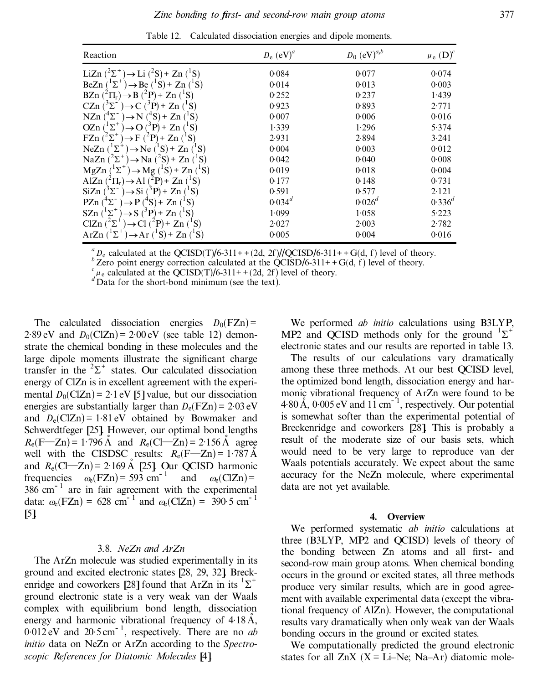| Reaction                                                                                       | $D_e$ (eV) <sup>a</sup> | $D_0$ (eV) <sup><math>a,b</math></sup> | $\mu_e$ $(D)^c$ |
|------------------------------------------------------------------------------------------------|-------------------------|----------------------------------------|-----------------|
| LiZn $(^{2}\Sigma^{+}) \rightarrow$ Li $(^{2}S)$ + Zn $(^{1}S)$                                | 0.084                   | 0.077                                  | 0.074           |
| $\mathrm{L}^2\Sigma^+$ ) $\rightarrow$ Be ( $\mathrm{L}^1S$ ) + Zn ( $\mathrm{L}^1S$ )<br>BeZn | 0.014                   | 0.013                                  | 0.003           |
| $\rightarrow$ B ( <sup>2</sup> P) + Zn ( <sup>1</sup> S)<br>$BZn$ ( ${}^2\Pi_r$ )              | 0.252                   | 0.237                                  | 1.439           |
| CZn<br>$(^{3}P) + Zn$<br>C<br>$\sum$                                                           | 0.923                   | 0.893                                  | 2.771           |
| $\rightarrow$ N ( <sup>4</sup> S) + Zn<br>NZn<br>$\epsilon^+ \Sigma^-$<br>$(^1S)$              | 0.007                   | 0.006                                  | 0.016           |
| $^{\prime1}\Sigma^+$<br>OZn<br>$\rightarrow$ O ( <sup>3</sup> P) + Zn ( <sup>1</sup> S)        | 1.339                   | 1.296                                  | 5.374           |
| $\mathscr{L}^+$<br>FZn<br>$\rightarrow$ F .<br>$(^{2}P)$ + Zn $(^{1}S)$                        | 2.931                   | 2.894                                  | 3.241           |
| $\rm ^1S)$<br>NeZn $(^1\Sigma^+$<br>$\rightarrow$ Ne ( $^1$ S) + Zn                            | 0.004                   | 0.003                                  | 0.012           |
| $\rightarrow$ Na ( <sup>2</sup> S) + Zn<br>NaZn $(^{2}\Sigma^{+})$                             | 0.042                   | 0.040                                  | 0.008           |
| $\rightarrow$ Mg ( $(S)$ + Zn ( $(S)$ )<br>MgZn<br>ʻΣ                                          | 0.019                   | 0.018                                  | 0.004           |
| $(^{2}P)$ + Zn $(^{1}S)$<br>$\mathbf{AlZn}$<br>$\rightarrow$ A1<br>$\rm ^{2} \Pi_{r}$          | 0.177                   | 0.148                                  | 0.731           |
| $(^{3}P)+Zn$<br>SiZn<br>$\rightarrow$ Si<br>Σ.<br>'S)                                          | 0.591                   | 0.577                                  | 2.121           |
| PZn<br>$(^4S)$ + Zn $(^1S)$                                                                    | $0.034^{d}$             | $0.026^d$                              | $0.336^{d}$     |
| $\Sigma^+$<br>SZn<br>$(^{3}P)+Zn(^{4}S)$<br>$\rightarrow$ S                                    | 1.099                   | 1.058                                  | 5.223           |
| $(^{2}P) + Zn$<br>ClZn<br>('Σ<br>$\rm ^{+}S)$                                                  | 2.027                   | 2.003                                  | 2.782           |
| $\rightarrow$ Ar ('S) + Zn ('S)<br>$\mathbf{L}^{\mathsf{T}}$<br>$ArZn$ (                       | 0.005                   | 0.004                                  | 0.016           |

Table 12. Calculated dissociation energies and dipole moments.

 ${}_{b}^{a}$  D<sub>e</sub> calculated at the QCISD(T)/6-311++(2d, 2f)//QCISD/6-311++G(d, f) level of theory.<br>  ${}_{b}^{b}$  Zero point energy correction calculated at the QCISD/6-311++G(d, f) level of theory.<br>  ${}_{a}^{c}$   $\mu$ <sub>c</sub> calculate

The calculated dissociation energies  $D_0(FZn)$  =  $2.89 \text{ eV}$  and  $D_0(CIZn) = 2.00 \text{ eV}$  (see table 12) demonstrate the chemical bonding in these molecules and the large dipole moments illustrate the significant charge transfer in the  ${}^{2}\Sigma^{+}$  states. Our calculated dissociation energy of ClZn is in excellent agreement with the experimental  $D_0(CIZn) = 2.1$  eV [5] value, but our dissociation energies are substantially larger than  $D_e$ (FZn) = 2.03 eV and  $D_e(CIZn) = 1.81 \text{ eV}$  obtained by Bowmaker and Schwerdtfeger [25]. However, our optimal bond lengths  $R_e(F-Zn) = 1.796 \text{ Å}$  and  $R_e(Cl-Zn) = 2.156 \text{ Å}$  agree well with the CISDSC results:  $R_e(\vec{F}-\vec{Z}) = 1.787 \text{ Å}$ and  $R_e$ (Cl—Zn) = 2·169 Å [25]. Our QCISD harmonic frequencies  $\omega_e$ (FZn) = 593 cm<sup>-1</sup> and  $\omega_e$ (ClZn) =  $386 \text{ cm}^{-1}$  are in fair agreement with the experimental data:  $\omega_e$ (FZn) = 628 cm<sup>-1</sup> and  $\omega_e$ (ClZn) = 390.5 cm<sup>-1</sup> [5].

# 3.8. *NeZn and ArZn*

The ArZn molecule was studied experimentally in its ground and excited electronic states [28, 29, 32]. Breckenridge and coworkers [28] found that ArZn in its  ${}^{1}\Sigma^{+}$ ground electronic state is a very weak van der Waals complex with equilibrium bond length, dissociation energy and harmonic vibrational frequency of  $4.18 \text{ Å}$ ,  $0.012 \text{ eV}$  and  $20.5 \text{ cm}^{-1}$ , respectively. There are no *ab initio* data on NeZn or ArZn according to the *Spectroscopic References for Diatomic Molecules* [4].

We performed *ab initio* calculations using B3LYP, MP2 and QCISD methods only for the ground  ${}^{1}\Sigma^{+}$ electronic states and our results are reported in table 13.

The results of our calculations vary dramatically among these three methods. At our best QCISD level, the optimized bond length, dissociation energy and harmonic vibrational frequency of ArZn were found to be  $4.80 \text{ Å}$ ,  $0.005 \text{ eV}$  and  $11 \text{ cm}^{-1}$ , respectively. Our potential is somewhat softer than the experimental potential of Breckenridge and coworkers [28]. This is probably a result of the moderate size of our basis sets, which would need to be very large to reproduce van der Waals potentials accurately. We expect about the same accuracy for the NeZn molecule, where experimental data are not yet available.

#### **4. Overview**

We performed systematic *ab initio* calculations at three (B3LYP, MP2 and QCISD) levels of theory of the bonding between Zn atoms and all first- and second-row main group atoms. When chemical bonding occurs in the ground or excited states, all three methods produce very similar results, which are in good agreement with available experimental data (except the vibrational frequency of AlZn). However, the computational results vary dramatically when only weak van der Waals bonding occurs in the ground or excited states.

We computationally predicted the ground electronic states for all  $ZnX$  (X = Li–Ne; Na–Ar) diatomic mole-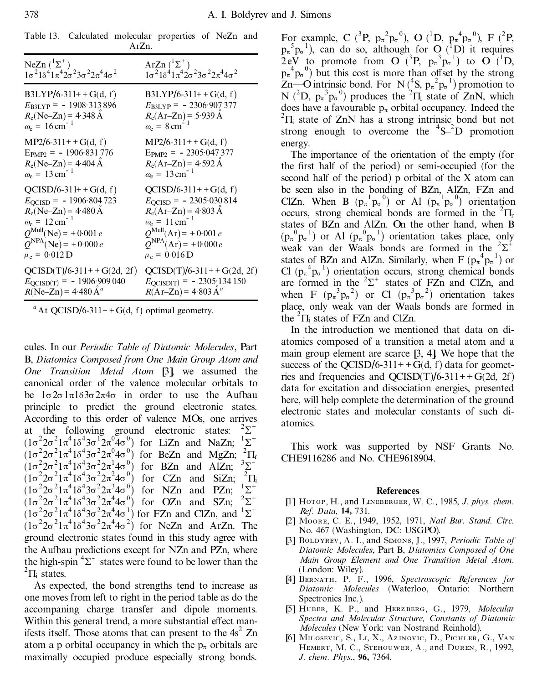| Table 13. Calculated molecular properties of NeZn and |          |  |  |  |
|-------------------------------------------------------|----------|--|--|--|
|                                                       | $ArZn$ . |  |  |  |

| NeZn $({}^{1}\Sigma^{+})$                                                     | ArZn $({}^{1}\Sigma^{+})$                                                     |
|-------------------------------------------------------------------------------|-------------------------------------------------------------------------------|
| $1\sigma^2$ $1\delta^4$ $1\pi^4$ $2\sigma^2$ $3\sigma^2$ $2\pi^4$ $4\sigma^2$ | $1\sigma^2$ $1\delta^4$ $1\pi^4$ $2\sigma^2$ $3\sigma^2$ $2\pi^4$ $4\sigma^2$ |
| $B3LYP/6-311++G(d, f)$                                                        | $B3LYP/6-311++G(d, f)$                                                        |
| $E_{\text{B3LYP}} = -1908.313896$                                             | $E_{\text{B3LYP}} = -2306.907377$                                             |
| $R_e(Ne-Zn) = 4.348 \text{ Å}$                                                | $R_e(\text{Ar} - \text{Zn}) = 5.939 \text{ Å}$                                |
| $\omega_e = 16 \text{ cm}^{-1}$                                               | $\omega_e = 8 \text{ cm}$                                                     |
| $MP2/6-311++G(d, f)$                                                          | $MP2/6-311++G(d, f)$                                                          |
| $E_{\text{PMP2}} = -1906.831776$                                              | $E_{\text{PMP2}} = -2305.047377$                                              |
| $R_e(Ne-Zn) = 4.404 \text{ Å}$                                                | $R_e(Ar-Zn) = 4.592 \text{ Å}$                                                |
| $\omega_e = 13 \text{ cm}^{-1}$                                               | $\omega_e = 13 \text{ cm}^{-1}$                                               |
| $QCISD/6-311++G(d, f)$                                                        | $QCISD/6-311++G(d, f)$                                                        |
| $E_{\text{OCISD}}$ = -1906.804723                                             | $E_{\text{OCISD}} = -2305.030814$                                             |
| $R_e(Ne-Zn) = 4.480 \text{ Å}$                                                | $R_e(Ar-Zn) = 4.803 \text{ Å}$                                                |
| $\omega_e = 12 \text{ cm}^{-1}$                                               | $\omega_e = 11 \text{ cm}^{-1}$                                               |
| $Q^{\text{Mul}}$ (Ne) = +0.001 e                                              | $Q^{\text{MulI}}(\text{Ar}) = +0.001 e$                                       |
| $Q^{\text{NPA}}(\text{Ne}) = +0.000 e$                                        | $Q^{\text{NPA}}(Ar) = +0.000 e$                                               |
| $\mu_e = 0.012$ D                                                             | $\mu_e = 0.016$ D                                                             |
| $QCISD(T)/6-311++G(2d, 2f)$                                                   | $QCISD(T)/6-311++G(2d, 2f)$                                                   |
| $E_{\text{QCISD(T)}} = -1906.909040$                                          | $E_{\text{QCISD(T)}} = -2305.134150$                                          |
| $R(Ne-Zn) = 4.480 \text{ Å}^a$                                                | $R(Ar-Zn) = 4.803 \text{ Å}^a$                                                |

cules. In our *Periodic Table of Diatomic Molecules*, Part B, *Diatomics Composed from One Main Group Atom and One Transition Metal Atom* [3], we assumed the canonical order of the valence molecular orbitals to be  $1\sigma 2\sigma 1\pi 1\delta 3\sigma 2\pi 4\sigma$  in order to use the Aufbau principle to predict the ground electronic states. According to this order of valence MOs, one arrives at the following ground electronic states:  ${}^{2}\Sigma^{+}$  $(1\sigma^2 2\sigma^2 1\pi^4 1\delta^4 3\sigma^1 2\pi^0 4\sigma^0)$  for LiZn and NaZn;  $^1\Sigma^+$  $(1\sigma^2 2\sigma^2 1\pi^4 1\delta^4 3\sigma^2 2\pi^0 4\sigma^0)$  for BeZn and MgZn;  ${}^2\Pi_r$  $(1\sigma^2 2\sigma^2 1\pi^4 1\delta^4 3\sigma^2 2\pi^1 4\sigma^0)$  for BZn and AlZn;  $\frac{3}{2}$  $(1\sigma^2 2\sigma^2 1\pi^4 1\delta^4 3\sigma^2 2\pi^2 4\sigma^0)$  for CZn and SiZn;  ${}^2\Pi_i$  $(1\sigma^2 2\sigma^2 1\pi^4 1\delta^4 3\sigma^2 2\pi^3 4\sigma^0)$  for NZn and PZn;  ${}^{1}\Sigma^{+}$  $+$  $(1\sigma^2 2\sigma^2 1\pi^4 1\delta^4 3\sigma^2 2\pi^4 4\sigma^0)$  for OZn and SZn;  $^2\Sigma^+$  $2\Sigma^+$  $(1\sigma^2 2\sigma^2 1\pi^4 1\delta^4 3\sigma^2 2\pi^4 4\sigma^1)$  for FZn and ClZn, and  $^1\Sigma^+$  $(1\sigma^2 2\sigma^2 1\pi^4 1\delta^4 3\sigma^2 2\pi^4 4\sigma^2)$  for NeZn and ArZn. The ground electronic states found in this study agree with the Aufbau predictions except for NZn and PZn, where the high-spin  ${}^{4}\Sigma^{-}$  states were found to be lower than the <sup>2</sup> $\Pi$  states.

As expected, the bond strengths tend to increase as one moves from left to right in the period table as do the accompaning charge transfer and dipole moments. Within this general trend, a more substantial effect manifests itself. Those atoms that can present to the  $4s^2$  Zn atom a p orbital occupancy in which the  $p_{\pi}$  orbitals are maximally occupied produce especially strong bonds.

For example, C (<sup>3</sup>P,  $p_{\pi}^{2}p_{\sigma}^{0}$ ), O (<sup>1</sup>D,  $p_{\pi}^{4}p_{\sigma}^{0}$ ), F (<sup>2</sup>P,  $p_{\pi}^{5}p_{\sigma}^{1}$ ), can do so, although for O (<sup>1</sup>D) it requires  $2 \text{ eV}$  to promote from O  $(^3P, p_{\pi}^3 p_{\sigma}^{\{-1\}})$  to O  $(^1D,$  $p_{\pi}^{4} p_{\sigma}^{0}$ ) but this cost is more than offset by the strong  $\text{Zn}$  O intrinsic bond. For  $N({}^4S, p_{\pi}^2 p_{\sigma}^{\phantom{2}})$  promotion to N ( ${}^{2}D$ ,  $p_{\pi} {}^{3}p_{\sigma} {}^{0}$ ) produces the  ${}^{2} \Pi_{i}$  state of ZnN, which does have a favourable  $p_{\pi}$  orbital occupancy. Indeed the  ${}^{2}$  $\Pi$  state of ZnN has a strong intrinsic bond but not strong enough to overcome the  ${}^{4}S^{-2}D$  promotion energy.

The importance of the orientation of the empty (for the first half of the period) or semi-occupied (for the second half of the period) p orbital of the X atom can be seen also in the bonding of BZn, AlZn, FZn and ClZn. When B  $(p_{\pi}^{-1}p_{\sigma}^{0})$  or Al  $(p_{\pi}^{-1}p_{\sigma}^{0})$  orientation occurs, strong chemical bonds are formed in the  ${}^{2}$  $\Pi$ <sub>r</sub> states of BZn and AlZn. On the other hand, when B  $(p_{\pi}^{0} p_{\sigma}^{-1})$  or Al  $(p_{\pi}^{0} p_{\sigma}^{-1})$  orientation takes place, only weak van der Waals bonds are formed in the  ${}^{2}\Sigma^{+}$ states of BZn and AlZn. Similarly, when  $F(p_{\pi}^{4}p_{\sigma}^{1})$  or Cl  $(p_{\pi}^{4}p_{\sigma}^{1})$  orientation occurs, strong chemical bonds are formed in the  $2\Sigma^+$  states of FZn and ClZn, and when F  $(p_{\pi}^{3}p_{\sigma}^{2})$  or Cl  $(p_{\pi}^{3}p_{\sigma}^{2})$  orientation takes place, only weak van der Waals bonds are formed in the  ${}^{2}$  $\Pi$  states of FZn and ClZn.

In the introduction we mentioned that data on diatomics composed of a transition a metal atom and a main group element are scarce [3, 4]. We hope that the success of the QCISD/6-311++ $G(d, f)$  data for geometries and frequencies and  $QCISD(T)/6-311++G(2d, 2f)$ data for excitation and dissociation energies, presented here, will help complete the determination of the ground electronic states and molecular constants of such diatomics.

This work was supported by NSF Grants No. CHE9116286 and No. CHE9618904.

#### **References**

- [1] Hotop, H., and Lineberger, W. C., 1985, *J. phys. chem. Ref. Data*, **14,** 731.
- [2] Moore, C. E., 1949, 1952, 1971, *Natl Bur. Stand. Circ.* No. 467 (Washington, DC: USGPO).
- [3] Boldyrev, A. I., and Simons, J., 1997, *Periodic Table of Diatomic Molecules*, Part B, *Diatomics Composed of One Main Group Element and One Transition Metal Atom.* (London: Wiley).
- [4] Bernath, P. F., 1996, *Spectroscopic References for Diatomic Molecules* (Waterloo, Ontario: Northern Spectronics Inc.).
- [5] Huber, K. P., and Herz berg, G., 1979, *Molecular Spectra and Molecular Structure, Constants of Diatomic Molecules* (New York: van Nostrand Reinhold).
- [6] Milosevic, S., Li, X., Az inovic, D., Pichler, G., Van HEMERT, M. C., STEHOUWER, A., and DUREN, R., 1992, *J. chem. Phys.*, **96,** 7364.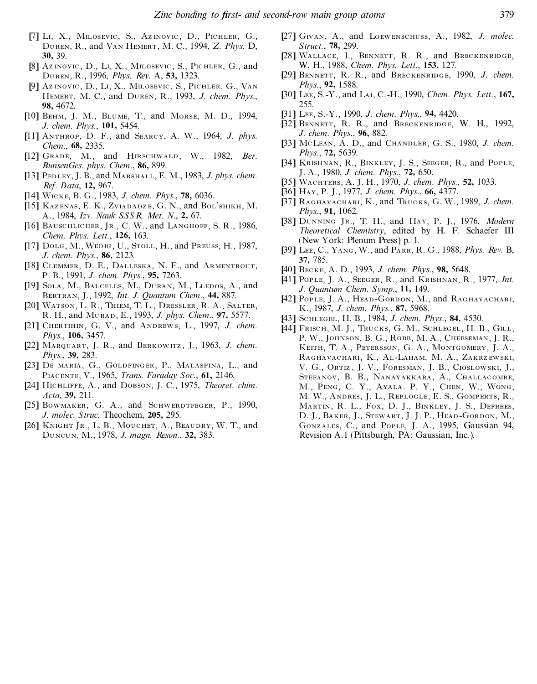- [7] Li, X., Milosevic, S., Az inovic, D., Pichler, G., Duren, R., and Van Hemert, M. C., 1994, *Z. Phys.* D, **30,** 39.
- [8] Az inovic, D., Li, X., Milosevic, S., Pichler, G., and Duren, R., 1996, *Phys. Rev.* A, **53,** 1323.
- [9] Az inovic, D., Li, X., Milosevic, S., Pichler, G., Van Hemert, M. C., and Duren, R., 1993, *J. chem. Phys.*, **98,** 4672.
- [10] Behm, J. M., Blume, T., and Morse, M. D., 1994, *J. chem. Phys.*, **101,** 5454.
- [11] Anthrop, D. F., and Searcy, A. W., 1964, *J. phys. Chem.*, **68,** 2335.
- [12] Grade, M., and Hirschwald, W., 1982, *Ber. BunsenGes. phys. Chem.*, **86,** 899.
- [13] Pedley, J. B., and Marshall, E. M., 1983, *J. phys. chem. Ref. Data*, **12,** 967.
- [14] Wicke, B. G., 1983, *J. chem. Phys.*, **78,** 6036.
- [15] KAZENAS, E. K., ZVIADADZE, G. N., and BOL'SHIKH, M. A., 1984, *Izv. Nauk SSSR, Met. N.*, **2,** 67.
- [16] BAUSCHLICHER, JR., C. W., and LANGHOFF, S. R., 1986. *Chem. Phys. L ett.*, **126,** 163.
- [17] Dolg, M., Wedig, U., Stoll, H., and Preuss, H., 1987, *J. chem. Phys.*, **86,** 2123.
- [18] CLEMMER, D. E., DALLESKA, N. F., and ARMENTROUT, P. B., 1991, *J. chem. Phys.*, **95,** 7263.
- [19] SOLA, M., BALCELLS, M., DURAN, M., LLEDOS, A., and Bertran, J., 1992, *Int. J. Quantum Chem.*, **44,** 887.
- [20] Watson, L. R., Thiem, T. L., Dressler, R. A., Salter, R. H., and Murad, E., 1993, *J. phys. Chem.*, **97,** 5577.
- [21] Chertihin, G. V., and Andrews, L., 1997, *J. chem. Phys.*, **106,** 3457.
- [22] Marquart, J. R., and Berkowitz ,J., 1963, *J. chem. Phys.*, **39,** 283.
- [23] De maria, G., Goldfinger, P., Malaspina, L., and Piacente, V., 1965, *Trans. Faraday Soc.*, **61,** 2146.
- [24] Hichliffe, A., and Dobson, J. C., 1975, *Theoret. chim. Acta*, **39,** 211.
- [25] BOWMAKER, G. A., and SCHWERDTFEGER, P., 1990, *J. molec. Struc.* Theochem, **205,** 295.
- [26] Knight Jr., L. B., Mouchet, A., Beaudry, W. T., and Duncun, M., 1978, *J. magn. Reson.*, **32,** 383.
- [27] Givan, A., and Loewenschuss, A., 1982, *J. molec. Struct.*, **78,** 299.
- [28] WALLACE, I., BENNETT, R. R., and BRECKENRIDGE, W. H., 1988, *Chem. Phys. L ett.*, **153,** 127.
- [29] Bennett, R. R., and Breckenridge, 1990, *J. chem. Phys.*, **92,** 1588.
- [30] Lee, S.-Y., and Lai, C.-H., 1990, *Chem. Phys. L ett.*, **167,** 255.
- [31] Lee, S.-Y., 1990, *J. chem. Phys.*, **94,** 4420.
- [32] BENNETT, R. R., and BRECKENRIDGE, W. H., 1992, *J. chem. Phys.*, **96,** 882.
- [33] McLean, A. D., and Chandler, G. S., 1980, *J. chem. Phys.*, **72,** 5639.
- [34] Krishnan, R., Binkley, J. S., Seeger, R., and Pople, J. A., 1980, *J. chem. Phys.*, **72,** 650.
- [35] Wachters, A. J. H., 1970, *J. chem. Phys.*, **52,** 1033.
- [36] Hay, P. J., 1977, *J. chem. Phys.*, **66,** 4377.
- [37] Raghavachari, K., and Trucks, G. W., 1989, *J. chem. Phys.*, **91,** 1062.
- [38] Dunning Jr., T. H., and Hay, P. J., 1976, *Modern Theoretical Chemistry*, edited by H. F. Schaefer III (New York: Plenum Press) p. 1.
- [39] Lee, C., Yang, W., and Parr, R. G., 1988, *Phys. Rev.* B, **37,** 785.
- [40] Becke, A. D., 1993, *J. chem. Phys.*, **98,** 5648.
- [41] Pople, J. A., Seeger, R., and Krishnan, R., 1977, *Int. J. Quantum Chem. Symp.*, **11,** 149.
- [42] POPLE, J. A., HEAD-GORDON, M., and RAGHAVACHARI, K., 1987, *J. chem. Phys.*, **87,** 5968.
- [43] Schlegel, H. B., 1984, *J. chem. Phys.*, **84,** 4530.
- [44] FRISCH, M. J., TRUCKS, G. M., SCHLEGEL, H. B., GILL, P. W., JOHNSON, B. G., ROBB, M. A., CHEESEMAN, J. R., Keith, T. A., Petersson, G. A., Montgomery, J. A., RAGHAVACHARI, K., AL-LAHAM, M. A., ZAKRZ EWSKI, V. G., Ortiz , J. V., Foresman, J. B., Cioslowski, J., Stefanov, B. B., Nanayakkara, A., Challacombe, M., Peng, C. Y., Ayala. P. Y., Chen, W., Wong, M. W., Andres, J. L., Replogle, E. S., Gomperts, R., MARTIN, R. L., FOX, D. J., BINKLEY, J. S., DEFREES, D. J., BAKER, J., STEWART, J. J. P., HEAD-GORDON, M., Gonz ales, C., and Pople, J. A., 1995, Gaussian 94, Revision A.1 (Pittsburgh, PA: Gaussian, Inc.).